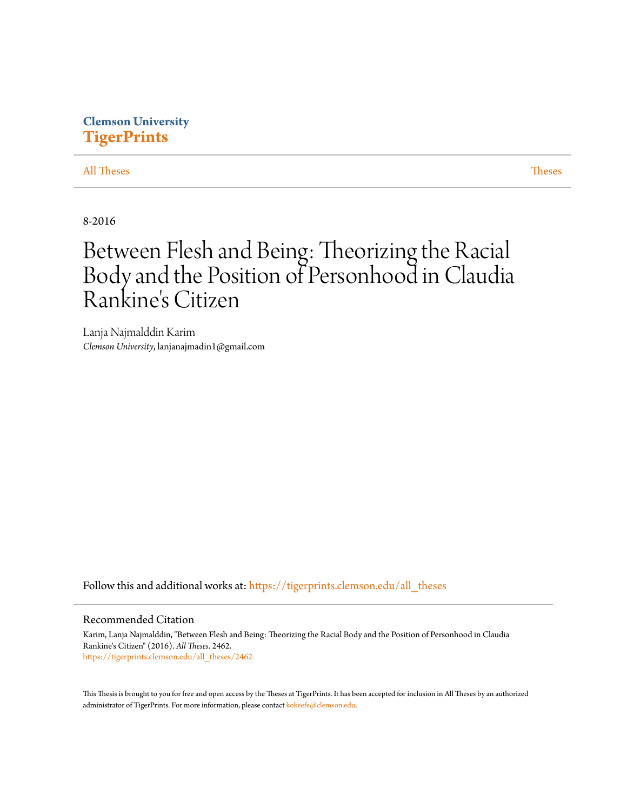## **Clemson University [TigerPrints](https://tigerprints.clemson.edu?utm_source=tigerprints.clemson.edu%2Fall_theses%2F2462&utm_medium=PDF&utm_campaign=PDFCoverPages)**

### [All Theses](https://tigerprints.clemson.edu/all_theses?utm_source=tigerprints.clemson.edu%2Fall_theses%2F2462&utm_medium=PDF&utm_campaign=PDFCoverPages) **[Theses](https://tigerprints.clemson.edu/theses?utm_source=tigerprints.clemson.edu%2Fall_theses%2F2462&utm_medium=PDF&utm_campaign=PDFCoverPages)**

8-2016

# Between Flesh and Being: Theorizing the Racial Body and the Position of Personhood in Claudia Rankine's Citizen

Lanja Najmalddin Karim *Clemson University*, lanjanajmadin1@gmail.com

Follow this and additional works at: [https://tigerprints.clemson.edu/all\\_theses](https://tigerprints.clemson.edu/all_theses?utm_source=tigerprints.clemson.edu%2Fall_theses%2F2462&utm_medium=PDF&utm_campaign=PDFCoverPages)

#### Recommended Citation

Karim, Lanja Najmalddin, "Between Flesh and Being: Theorizing the Racial Body and the Position of Personhood in Claudia Rankine's Citizen" (2016). *All Theses*. 2462. [https://tigerprints.clemson.edu/all\\_theses/2462](https://tigerprints.clemson.edu/all_theses/2462?utm_source=tigerprints.clemson.edu%2Fall_theses%2F2462&utm_medium=PDF&utm_campaign=PDFCoverPages)

This Thesis is brought to you for free and open access by the Theses at TigerPrints. It has been accepted for inclusion in All Theses by an authorized administrator of TigerPrints. For more information, please contact [kokeefe@clemson.edu](mailto:kokeefe@clemson.edu).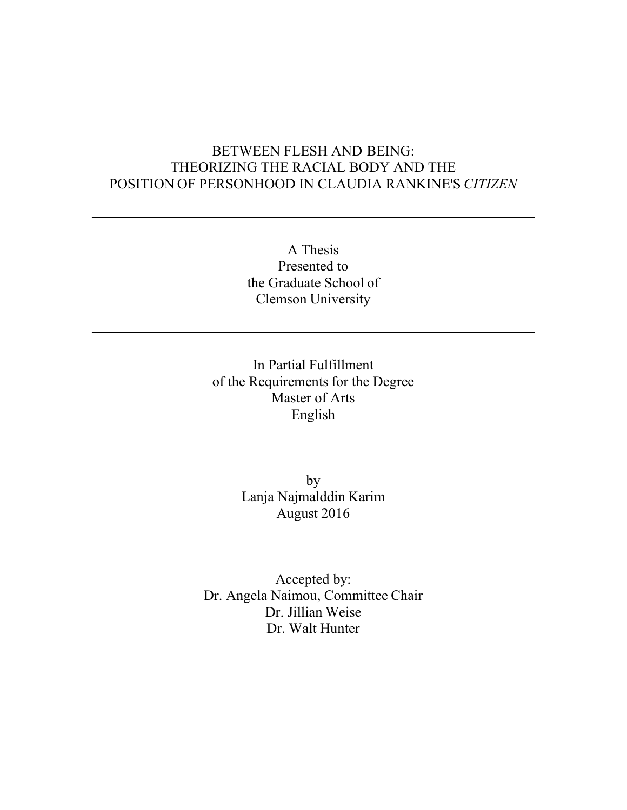# BETWEEN FLESH AND BEING: THEORIZING THE RACIAL BODY AND THE POSITION OF PERSONHOOD IN CLAUDIA RANKINE'S *CITIZEN*

A Thesis Presented to the Graduate School of Clemson University

In Partial Fulfillment of the Requirements for the Degree Master of Arts English

> by Lanja Najmalddin Karim August 2016

Accepted by: Dr. Angela Naimou, Committee Chair Dr. Jillian Weise Dr. Walt Hunter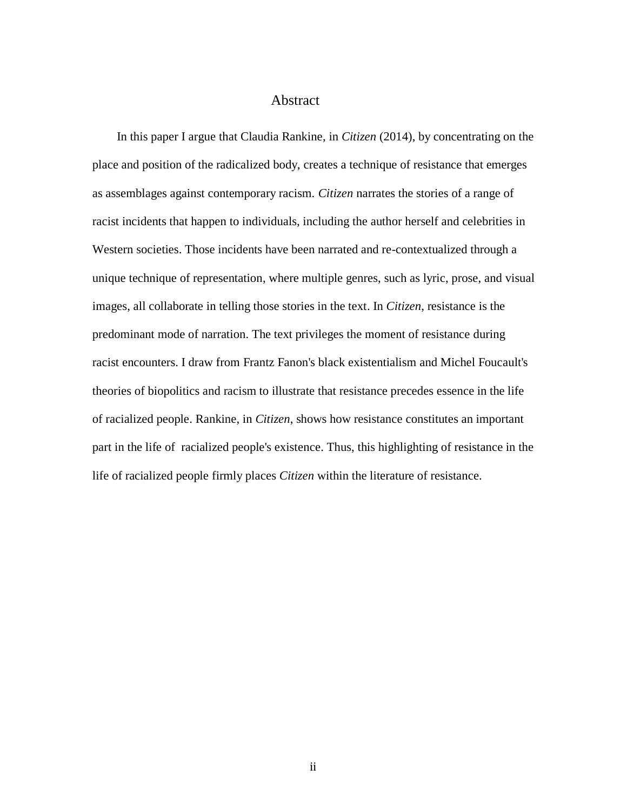### Abstract

 In this paper I argue that Claudia Rankine, in *Citizen* (2014), by concentrating on the place and position of the radicalized body, creates a technique of resistance that emerges as assemblages against contemporary racism. *Citizen* narrates the stories of a range of racist incidents that happen to individuals, including the author herself and celebrities in Western societies. Those incidents have been narrated and re-contextualized through a unique technique of representation, where multiple genres, such as lyric, prose, and visual images, all collaborate in telling those stories in the text. In *Citizen*, resistance is the predominant mode of narration. The text privileges the moment of resistance during racist encounters. I draw from Frantz Fanon's black existentialism and Michel Foucault's theories of biopolitics and racism to illustrate that resistance precedes essence in the life of racialized people. Rankine, in *Citizen*, shows how resistance constitutes an important part in the life of racialized people's existence. Thus, this highlighting of resistance in the life of racialized people firmly places *Citizen* within the literature of resistance.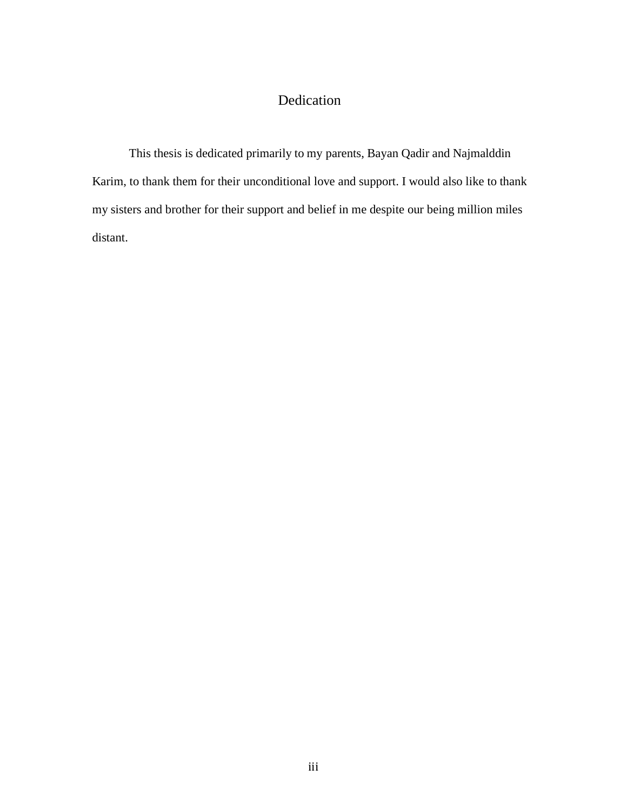# Dedication

This thesis is dedicated primarily to my parents, Bayan Qadir and Najmalddin Karim, to thank them for their unconditional love and support. I would also like to thank my sisters and brother for their support and belief in me despite our being million miles distant.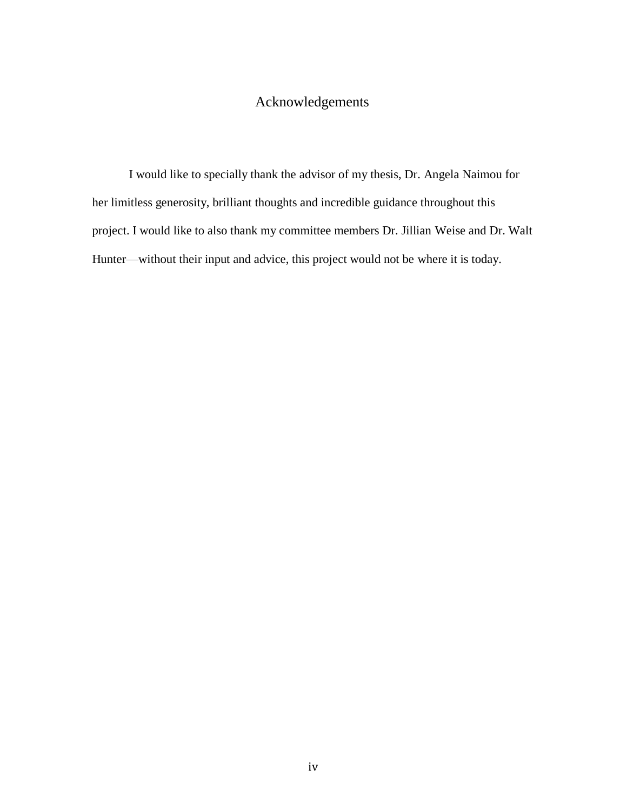### Acknowledgements

I would like to specially thank the advisor of my thesis, Dr. Angela Naimou for her limitless generosity, brilliant thoughts and incredible guidance throughout this project. I would like to also thank my committee members Dr. Jillian Weise and Dr. Walt Hunter—without their input and advice, this project would not be where it is today.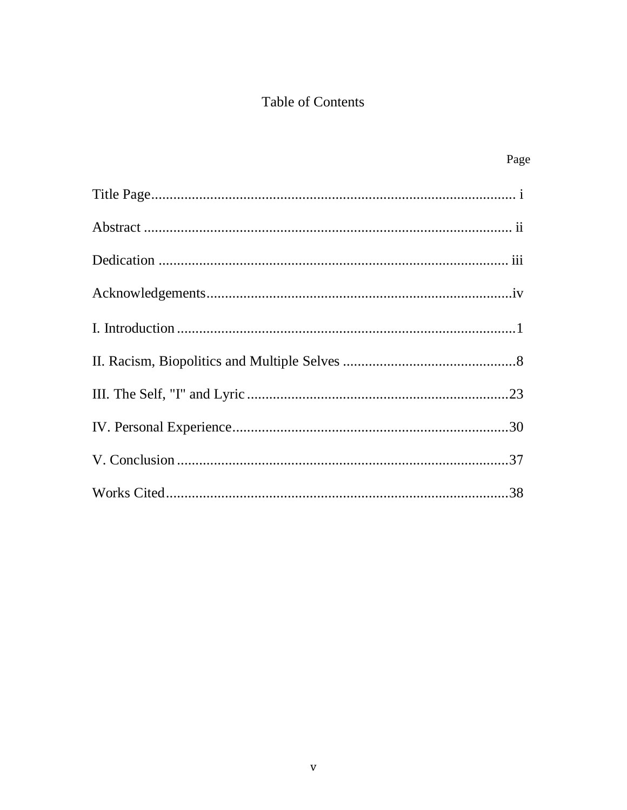# Table of Contents

| Page |
|------|
|      |
|      |
|      |
|      |
|      |
|      |
|      |
|      |
|      |
|      |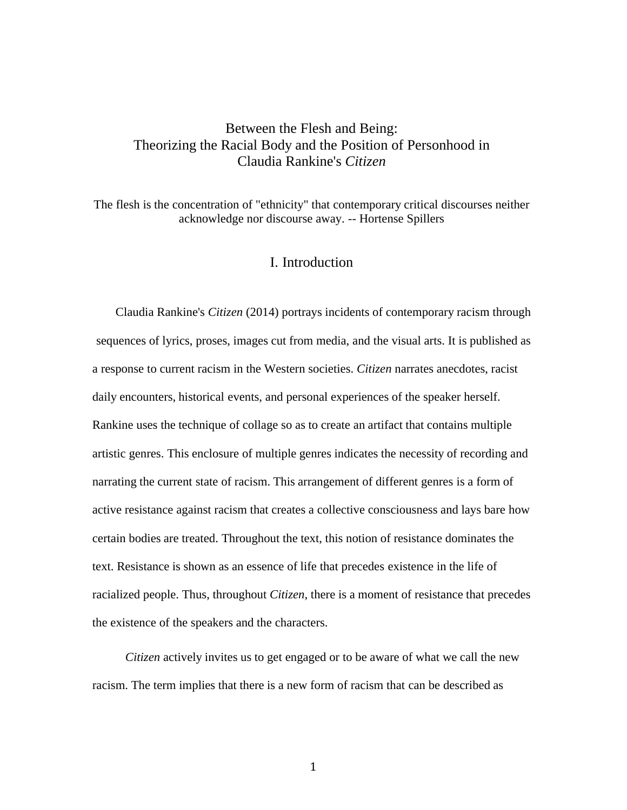### Between the Flesh and Being: Theorizing the Racial Body and the Position of Personhood in Claudia Rankine's *Citizen*

The flesh is the concentration of "ethnicity" that contemporary critical discourses neither acknowledge nor discourse away. -- Hortense Spillers

### I. Introduction

 Claudia Rankine's *Citizen* (2014) portrays incidents of contemporary racism through sequences of lyrics, proses, images cut from media, and the visual arts. It is published as a response to current racism in the Western societies. *Citizen* narrates anecdotes, racist daily encounters, historical events, and personal experiences of the speaker herself. Rankine uses the technique of collage so as to create an artifact that contains multiple artistic genres. This enclosure of multiple genres indicates the necessity of recording and narrating the current state of racism. This arrangement of different genres is a form of active resistance against racism that creates a collective consciousness and lays bare how certain bodies are treated. Throughout the text, this notion of resistance dominates the text. Resistance is shown as an essence of life that precedes existence in the life of racialized people. Thus, throughout *Citizen*, there is a moment of resistance that precedes the existence of the speakers and the characters.

 *Citizen* actively invites us to get engaged or to be aware of what we call the new racism. The term implies that there is a new form of racism that can be described as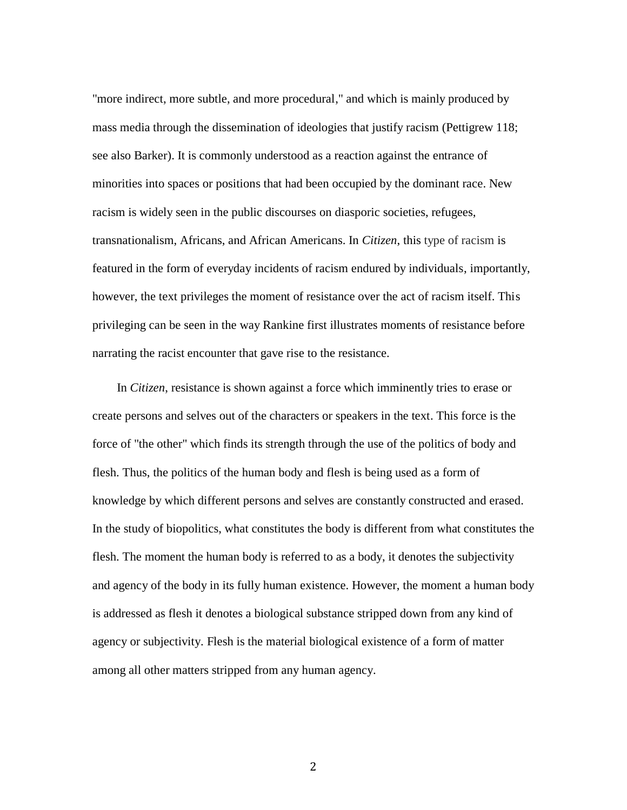"more indirect, more subtle, and more procedural," and which is mainly produced by mass media through the dissemination of ideologies that justify racism (Pettigrew 118; see also Barker). It is commonly understood as a reaction against the entrance of minorities into spaces or positions that had been occupied by the dominant race. New racism is widely seen in the public discourses on diasporic societies, refugees, transnationalism, Africans, and African Americans. In *Citizen*, this type of racism is featured in the form of everyday incidents of racism endured by individuals, importantly, however, the text privileges the moment of resistance over the act of racism itself. This privileging can be seen in the way Rankine first illustrates moments of resistance before narrating the racist encounter that gave rise to the resistance.

 In *Citizen*, resistance is shown against a force which imminently tries to erase or create persons and selves out of the characters or speakers in the text. This force is the force of "the other" which finds its strength through the use of the politics of body and flesh. Thus, the politics of the human body and flesh is being used as a form of knowledge by which different persons and selves are constantly constructed and erased. In the study of biopolitics, what constitutes the body is different from what constitutes the flesh. The moment the human body is referred to as a body, it denotes the subjectivity and agency of the body in its fully human existence. However, the moment a human body is addressed as flesh it denotes a biological substance stripped down from any kind of agency or subjectivity. Flesh is the material biological existence of a form of matter among all other matters stripped from any human agency.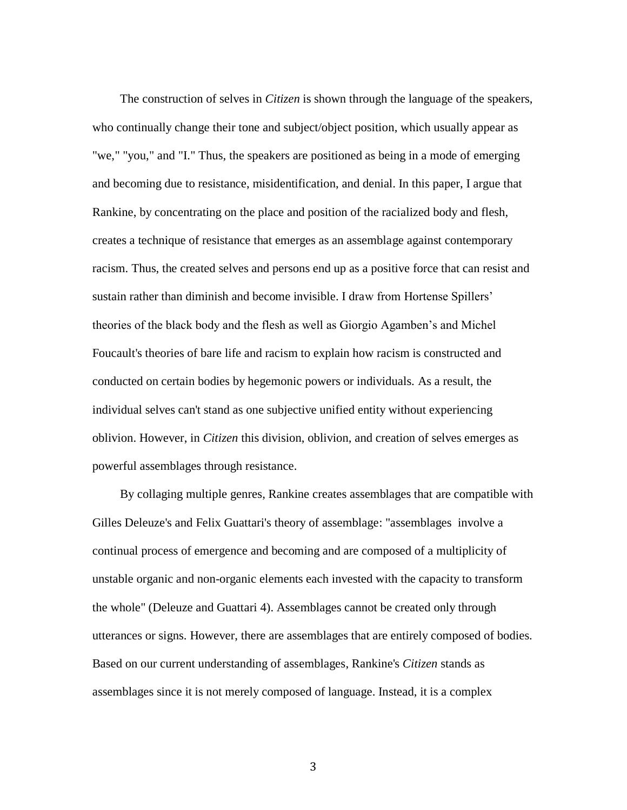The construction of selves in *Citizen* is shown through the language of the speakers, who continually change their tone and subject/object position, which usually appear as "we," "you," and "I." Thus, the speakers are positioned as being in a mode of emerging and becoming due to resistance, misidentification, and denial. In this paper, I argue that Rankine, by concentrating on the place and position of the racialized body and flesh, creates a technique of resistance that emerges as an assemblage against contemporary racism. Thus, the created selves and persons end up as a positive force that can resist and sustain rather than diminish and become invisible. I draw from Hortense Spillers' theories of the black body and the flesh as well as Giorgio Agamben's and Michel Foucault's theories of bare life and racism to explain how racism is constructed and conducted on certain bodies by hegemonic powers or individuals. As a result, the individual selves can't stand as one subjective unified entity without experiencing oblivion. However, in *Citizen* this division, oblivion, and creation of selves emerges as powerful assemblages through resistance.

 By collaging multiple genres, Rankine creates assemblages that are compatible with Gilles Deleuze's and Felix Guattari's theory of assemblage: "assemblages involve a continual process of emergence and becoming and are composed of a multiplicity of unstable organic and non-organic elements each invested with the capacity to transform the whole" (Deleuze and Guattari 4). Assemblages cannot be created only through utterances or signs. However, there are assemblages that are entirely composed of bodies. Based on our current understanding of assemblages, Rankine's *Citizen* stands as assemblages since it is not merely composed of language. Instead, it is a complex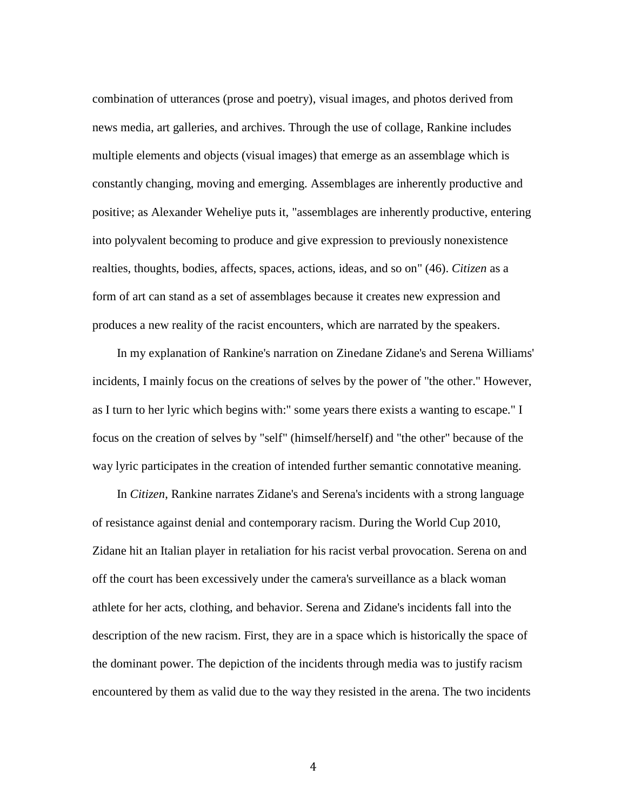combination of utterances (prose and poetry), visual images, and photos derived from news media, art galleries, and archives. Through the use of collage, Rankine includes multiple elements and objects (visual images) that emerge as an assemblage which is constantly changing, moving and emerging. Assemblages are inherently productive and positive; as Alexander Weheliye puts it, "assemblages are inherently productive, entering into polyvalent becoming to produce and give expression to previously nonexistence realties, thoughts, bodies, affects, spaces, actions, ideas, and so on" (46). *Citizen* as a form of art can stand as a set of assemblages because it creates new expression and produces a new reality of the racist encounters, which are narrated by the speakers.

 In my explanation of Rankine's narration on Zinedane Zidane's and Serena Williams' incidents, I mainly focus on the creations of selves by the power of "the other." However, as I turn to her lyric which begins with:" some years there exists a wanting to escape." I focus on the creation of selves by "self" (himself/herself) and "the other" because of the way lyric participates in the creation of intended further semantic connotative meaning.

In *Citizen*, Rankine narrates Zidane's and Serena's incidents with a strong language of resistance against denial and contemporary racism. During the World Cup 2010, Zidane hit an Italian player in retaliation for his racist verbal provocation. Serena on and off the court has been excessively under the camera's surveillance as a black woman athlete for her acts, clothing, and behavior. Serena and Zidane's incidents fall into the description of the new racism. First, they are in a space which is historically the space of the dominant power. The depiction of the incidents through media was to justify racism encountered by them as valid due to the way they resisted in the arena. The two incidents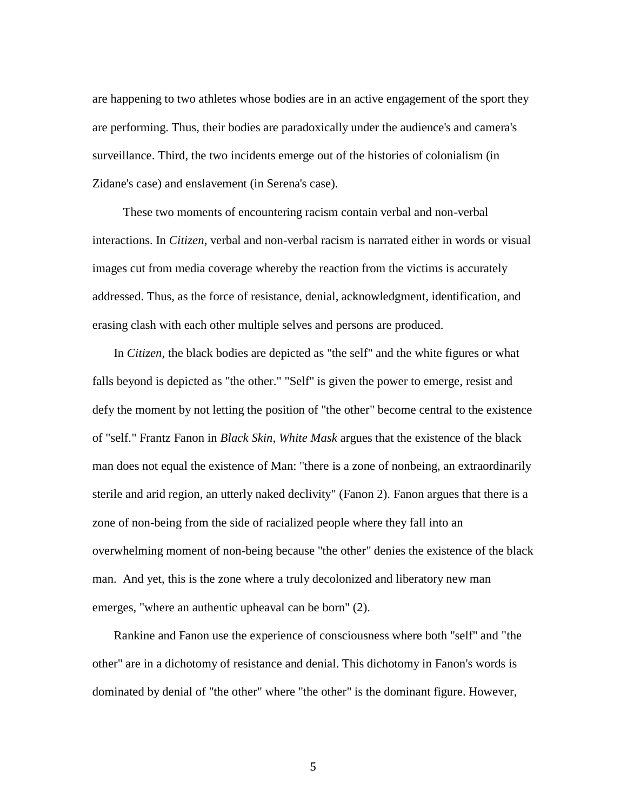are happening to two athletes whose bodies are in an active engagement of the sport they are performing. Thus, their bodies are paradoxically under the audience's and camera's surveillance. Third, the two incidents emerge out of the histories of colonialism (in Zidane's case) and enslavement (in Serena's case).

 These two moments of encountering racism contain verbal and non-verbal interactions. In *Citizen*, verbal and non-verbal racism is narrated either in words or visual images cut from media coverage whereby the reaction from the victims is accurately addressed. Thus, as the force of resistance, denial, acknowledgment, identification, and erasing clash with each other multiple selves and persons are produced.

 In *Citizen*, the black bodies are depicted as "the self" and the white figures or what falls beyond is depicted as "the other." "Self" is given the power to emerge, resist and defy the moment by not letting the position of "the other" become central to the existence of "self." Frantz Fanon in *Black Skin, White Mask* argues that the existence of the black man does not equal the existence of Man: "there is a zone of nonbeing, an extraordinarily sterile and arid region, an utterly naked declivity" (Fanon 2). Fanon argues that there is a zone of non-being from the side of racialized people where they fall into an overwhelming moment of non-being because "the other" denies the existence of the black man. And yet, this is the zone where a truly decolonized and liberatory new man emerges, "where an authentic upheaval can be born" (2).

 Rankine and Fanon use the experience of consciousness where both "self" and "the other" are in a dichotomy of resistance and denial. This dichotomy in Fanon's words is dominated by denial of "the other" where "the other" is the dominant figure. However,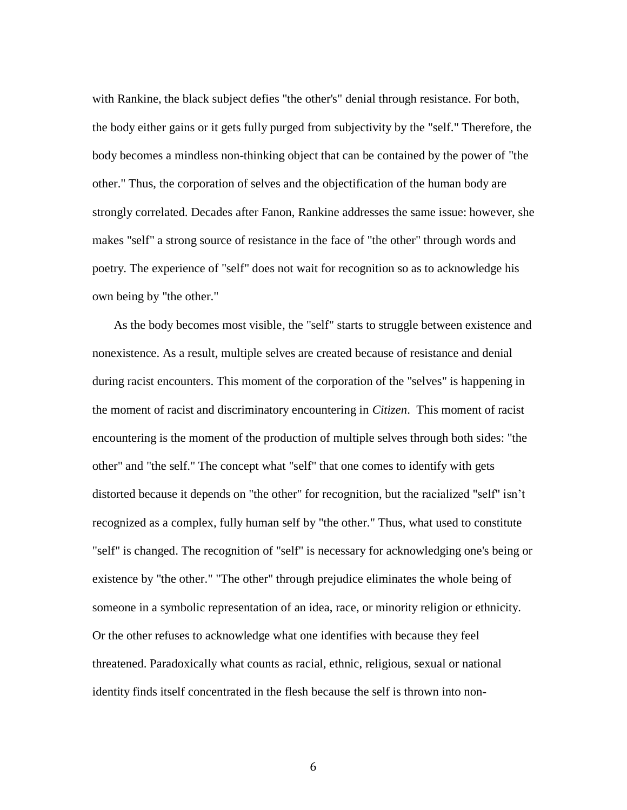with Rankine, the black subject defies "the other's" denial through resistance. For both, the body either gains or it gets fully purged from subjectivity by the "self." Therefore, the body becomes a mindless non-thinking object that can be contained by the power of "the other." Thus, the corporation of selves and the objectification of the human body are strongly correlated. Decades after Fanon, Rankine addresses the same issue: however, she makes "self" a strong source of resistance in the face of "the other" through words and poetry. The experience of "self" does not wait for recognition so as to acknowledge his own being by "the other."

 As the body becomes most visible, the "self" starts to struggle between existence and nonexistence. As a result, multiple selves are created because of resistance and denial during racist encounters. This moment of the corporation of the "selves" is happening in the moment of racist and discriminatory encountering in *Citizen*. This moment of racist encountering is the moment of the production of multiple selves through both sides: "the other" and "the self." The concept what "self" that one comes to identify with gets distorted because it depends on "the other" for recognition, but the racialized "self" isn't recognized as a complex, fully human self by "the other." Thus, what used to constitute "self" is changed. The recognition of "self" is necessary for acknowledging one's being or existence by "the other." "The other" through prejudice eliminates the whole being of someone in a symbolic representation of an idea, race, or minority religion or ethnicity. Or the other refuses to acknowledge what one identifies with because they feel threatened. Paradoxically what counts as racial, ethnic, religious, sexual or national identity finds itself concentrated in the flesh because the self is thrown into non-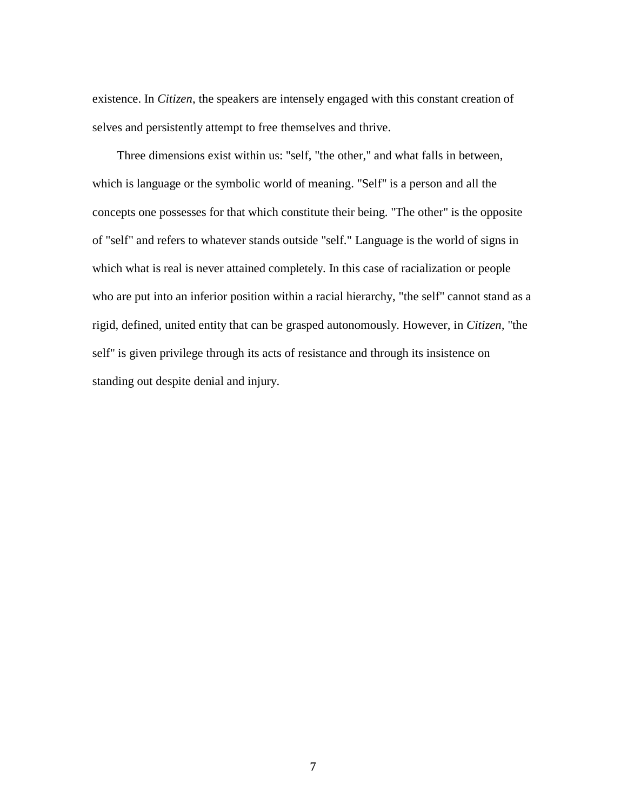existence. In *Citizen*, the speakers are intensely engaged with this constant creation of selves and persistently attempt to free themselves and thrive.

 Three dimensions exist within us: "self, "the other," and what falls in between, which is language or the symbolic world of meaning. "Self" is a person and all the concepts one possesses for that which constitute their being. "The other" is the opposite of "self" and refers to whatever stands outside "self." Language is the world of signs in which what is real is never attained completely. In this case of racialization or people who are put into an inferior position within a racial hierarchy, "the self" cannot stand as a rigid, defined, united entity that can be grasped autonomously. However, in *Citizen,* "the self" is given privilege through its acts of resistance and through its insistence on standing out despite denial and injury.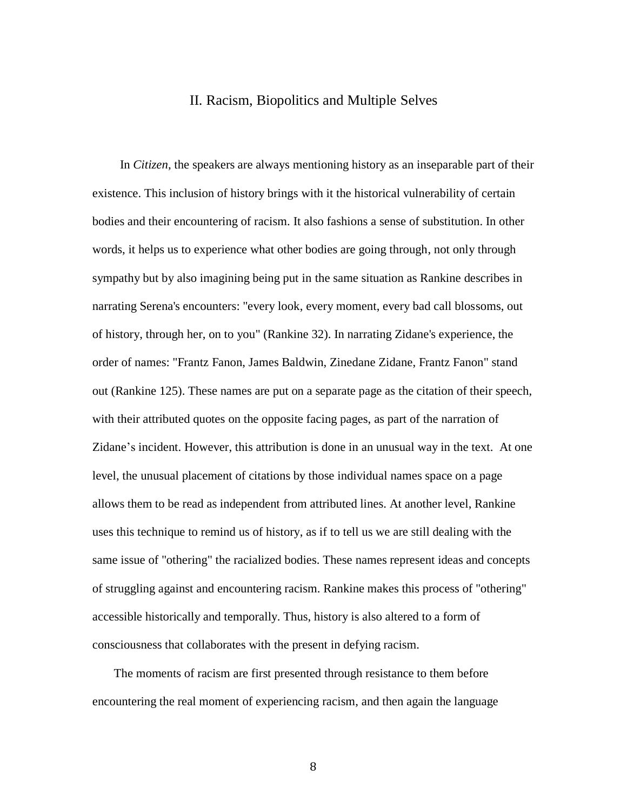### II. Racism, Biopolitics and Multiple Selves

 In *Citizen*, the speakers are always mentioning history as an inseparable part of their existence. This inclusion of history brings with it the historical vulnerability of certain bodies and their encountering of racism. It also fashions a sense of substitution. In other words, it helps us to experience what other bodies are going through, not only through sympathy but by also imagining being put in the same situation as Rankine describes in narrating Serena's encounters: "every look, every moment, every bad call blossoms, out of history, through her, on to you" (Rankine 32). In narrating Zidane's experience, the order of names: "Frantz Fanon, James Baldwin, Zinedane Zidane, Frantz Fanon" stand out (Rankine 125). These names are put on a separate page as the citation of their speech, with their attributed quotes on the opposite facing pages, as part of the narration of Zidane's incident. However, this attribution is done in an unusual way in the text. At one level, the unusual placement of citations by those individual names space on a page allows them to be read as independent from attributed lines. At another level, Rankine uses this technique to remind us of history, as if to tell us we are still dealing with the same issue of "othering" the racialized bodies. These names represent ideas and concepts of struggling against and encountering racism. Rankine makes this process of "othering" accessible historically and temporally. Thus, history is also altered to a form of consciousness that collaborates with the present in defying racism.

 The moments of racism are first presented through resistance to them before encountering the real moment of experiencing racism, and then again the language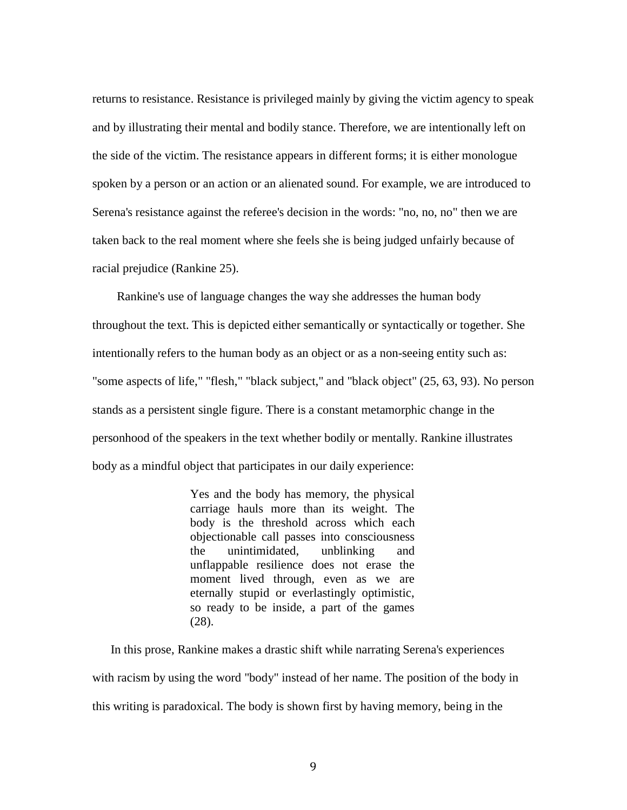returns to resistance. Resistance is privileged mainly by giving the victim agency to speak and by illustrating their mental and bodily stance. Therefore, we are intentionally left on the side of the victim. The resistance appears in different forms; it is either monologue spoken by a person or an action or an alienated sound. For example, we are introduced to Serena's resistance against the referee's decision in the words: "no, no, no" then we are taken back to the real moment where she feels she is being judged unfairly because of racial prejudice (Rankine 25).

 Rankine's use of language changes the way she addresses the human body throughout the text. This is depicted either semantically or syntactically or together. She intentionally refers to the human body as an object or as a non-seeing entity such as: "some aspects of life," "flesh," "black subject," and "black object" (25, 63, 93). No person stands as a persistent single figure. There is a constant metamorphic change in the personhood of the speakers in the text whether bodily or mentally. Rankine illustrates body as a mindful object that participates in our daily experience:

> Yes and the body has memory, the physical carriage hauls more than its weight. The body is the threshold across which each objectionable call passes into consciousness the unintimidated, unblinking and unflappable resilience does not erase the moment lived through, even as we are eternally stupid or everlastingly optimistic, so ready to be inside, a part of the games (28).

 In this prose, Rankine makes a drastic shift while narrating Serena's experiences with racism by using the word "body" instead of her name. The position of the body in this writing is paradoxical. The body is shown first by having memory, being in the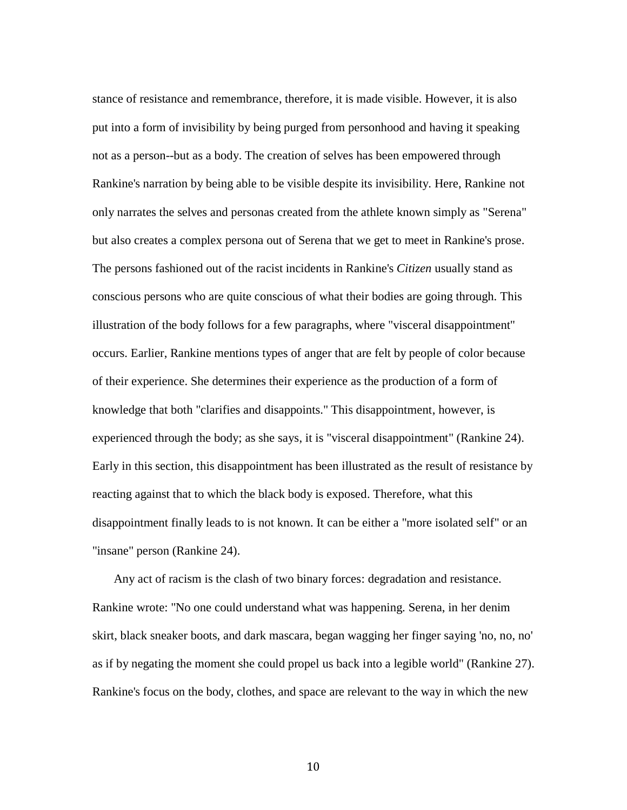stance of resistance and remembrance, therefore, it is made visible. However, it is also put into a form of invisibility by being purged from personhood and having it speaking not as a person--but as a body. The creation of selves has been empowered through Rankine's narration by being able to be visible despite its invisibility. Here, Rankine not only narrates the selves and personas created from the athlete known simply as "Serena" but also creates a complex persona out of Serena that we get to meet in Rankine's prose. The persons fashioned out of the racist incidents in Rankine's *Citizen* usually stand as conscious persons who are quite conscious of what their bodies are going through. This illustration of the body follows for a few paragraphs, where "visceral disappointment" occurs. Earlier, Rankine mentions types of anger that are felt by people of color because of their experience. She determines their experience as the production of a form of knowledge that both "clarifies and disappoints." This disappointment, however, is experienced through the body; as she says, it is "visceral disappointment" (Rankine 24). Early in this section, this disappointment has been illustrated as the result of resistance by reacting against that to which the black body is exposed. Therefore, what this disappointment finally leads to is not known. It can be either a "more isolated self" or an "insane" person (Rankine 24).

 Any act of racism is the clash of two binary forces: degradation and resistance. Rankine wrote: "No one could understand what was happening. Serena, in her denim skirt, black sneaker boots, and dark mascara, began wagging her finger saying 'no, no, no' as if by negating the moment she could propel us back into a legible world" (Rankine 27). Rankine's focus on the body, clothes, and space are relevant to the way in which the new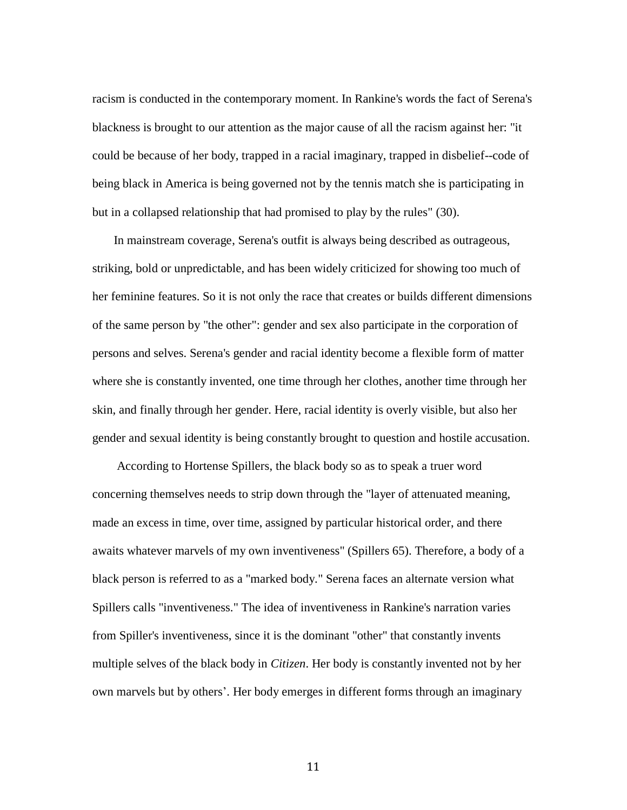racism is conducted in the contemporary moment. In Rankine's words the fact of Serena's blackness is brought to our attention as the major cause of all the racism against her: "it could be because of her body, trapped in a racial imaginary, trapped in disbelief--code of being black in America is being governed not by the tennis match she is participating in but in a collapsed relationship that had promised to play by the rules" (30).

 In mainstream coverage, Serena's outfit is always being described as outrageous, striking, bold or unpredictable, and has been widely criticized for showing too much of her feminine features. So it is not only the race that creates or builds different dimensions of the same person by "the other": gender and sex also participate in the corporation of persons and selves. Serena's gender and racial identity become a flexible form of matter where she is constantly invented, one time through her clothes, another time through her skin, and finally through her gender. Here, racial identity is overly visible, but also her gender and sexual identity is being constantly brought to question and hostile accusation.

 According to Hortense Spillers, the black body so as to speak a truer word concerning themselves needs to strip down through the "layer of attenuated meaning, made an excess in time, over time, assigned by particular historical order, and there awaits whatever marvels of my own inventiveness" (Spillers 65). Therefore, a body of a black person is referred to as a "marked body." Serena faces an alternate version what Spillers calls "inventiveness." The idea of inventiveness in Rankine's narration varies from Spiller's inventiveness, since it is the dominant "other" that constantly invents multiple selves of the black body in *Citizen*. Her body is constantly invented not by her own marvels but by others'. Her body emerges in different forms through an imaginary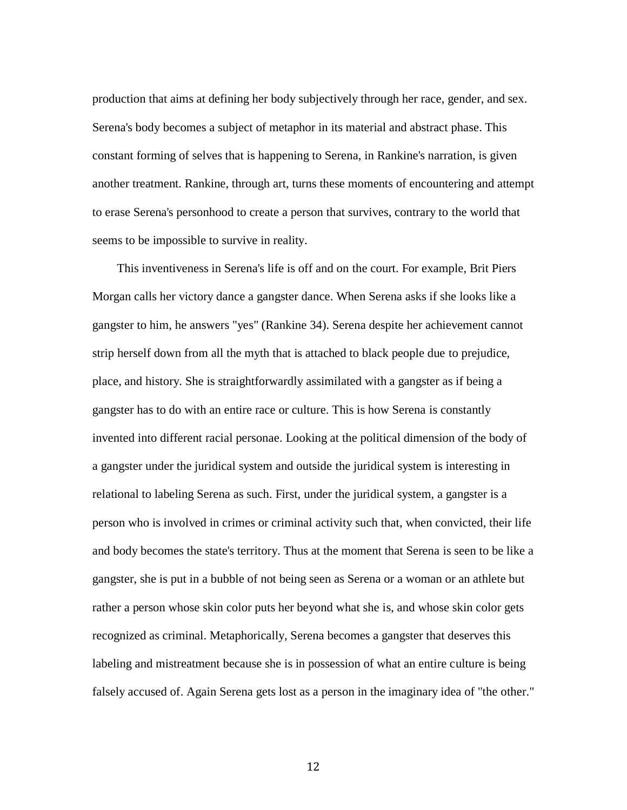production that aims at defining her body subjectively through her race, gender, and sex. Serena's body becomes a subject of metaphor in its material and abstract phase. This constant forming of selves that is happening to Serena, in Rankine's narration, is given another treatment. Rankine, through art, turns these moments of encountering and attempt to erase Serena's personhood to create a person that survives, contrary to the world that seems to be impossible to survive in reality.

 This inventiveness in Serena's life is off and on the court. For example, Brit Piers Morgan calls her victory dance a gangster dance. When Serena asks if she looks like a gangster to him, he answers "yes" (Rankine 34). Serena despite her achievement cannot strip herself down from all the myth that is attached to black people due to prejudice, place, and history. She is straightforwardly assimilated with a gangster as if being a gangster has to do with an entire race or culture. This is how Serena is constantly invented into different racial personae. Looking at the political dimension of the body of a gangster under the juridical system and outside the juridical system is interesting in relational to labeling Serena as such. First, under the juridical system, a gangster is a person who is involved in crimes or criminal activity such that, when convicted, their life and body becomes the state's territory. Thus at the moment that Serena is seen to be like a gangster, she is put in a bubble of not being seen as Serena or a woman or an athlete but rather a person whose skin color puts her beyond what she is, and whose skin color gets recognized as criminal. Metaphorically, Serena becomes a gangster that deserves this labeling and mistreatment because she is in possession of what an entire culture is being falsely accused of. Again Serena gets lost as a person in the imaginary idea of "the other."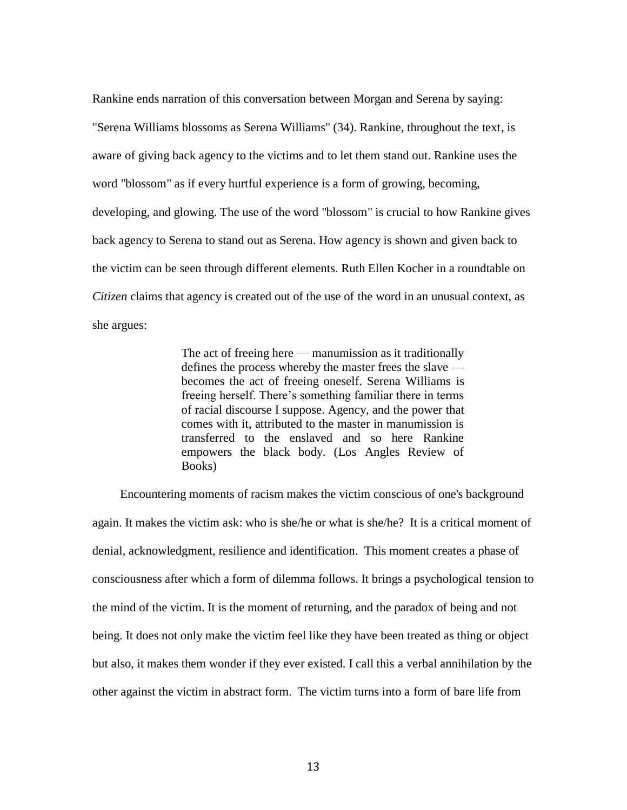Rankine ends narration of this conversation between Morgan and Serena by saying: "Serena Williams blossoms as Serena Williams" (34). Rankine, throughout the text, is aware of giving back agency to the victims and to let them stand out. Rankine uses the word "blossom" as if every hurtful experience is a form of growing, becoming, developing, and glowing. The use of the word "blossom" is crucial to how Rankine gives back agency to Serena to stand out as Serena. How agency is shown and given back to the victim can be seen through different elements. Ruth Ellen Kocher in a roundtable on *Citizen* claims that agency is created out of the use of the word in an unusual context, as she argues:

> The act of freeing here — manumission as it traditionally defines the process whereby the master frees the slave becomes the act of freeing oneself. Serena Williams is freeing herself. There's something familiar there in terms of racial discourse I suppose. Agency, and the power that comes with it, attributed to the master in manumission is transferred to the enslaved and so here Rankine empowers the black body. (Los Angles Review of Books)

 Encountering moments of racism makes the victim conscious of one's background again. It makes the victim ask: who is she/he or what is she/he? It is a critical moment of denial, acknowledgment, resilience and identification. This moment creates a phase of consciousness after which a form of dilemma follows. It brings a psychological tension to the mind of the victim. It is the moment of returning, and the paradox of being and not being. It does not only make the victim feel like they have been treated as thing or object but also, it makes them wonder if they ever existed. I call this a verbal annihilation by the other against the victim in abstract form. The victim turns into a form of bare life from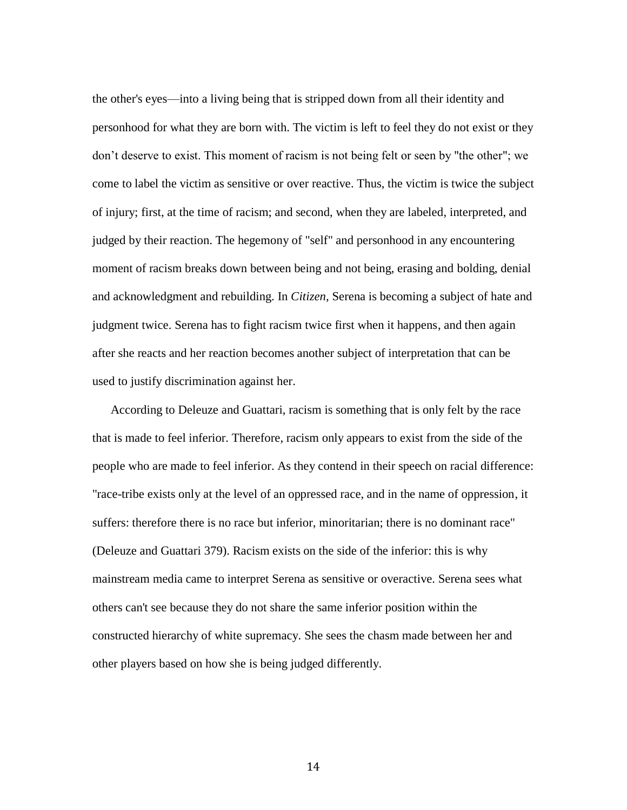the other's eyes—into a living being that is stripped down from all their identity and personhood for what they are born with. The victim is left to feel they do not exist or they don't deserve to exist. This moment of racism is not being felt or seen by "the other"; we come to label the victim as sensitive or over reactive. Thus, the victim is twice the subject of injury; first, at the time of racism; and second, when they are labeled, interpreted, and judged by their reaction. The hegemony of "self" and personhood in any encountering moment of racism breaks down between being and not being, erasing and bolding, denial and acknowledgment and rebuilding. In *Citizen*, Serena is becoming a subject of hate and judgment twice. Serena has to fight racism twice first when it happens, and then again after she reacts and her reaction becomes another subject of interpretation that can be used to justify discrimination against her.

 According to Deleuze and Guattari, racism is something that is only felt by the race that is made to feel inferior. Therefore, racism only appears to exist from the side of the people who are made to feel inferior. As they contend in their speech on racial difference: "race-tribe exists only at the level of an oppressed race, and in the name of oppression, it suffers: therefore there is no race but inferior, minoritarian; there is no dominant race" (Deleuze and Guattari 379). Racism exists on the side of the inferior: this is why mainstream media came to interpret Serena as sensitive or overactive. Serena sees what others can't see because they do not share the same inferior position within the constructed hierarchy of white supremacy. She sees the chasm made between her and other players based on how she is being judged differently.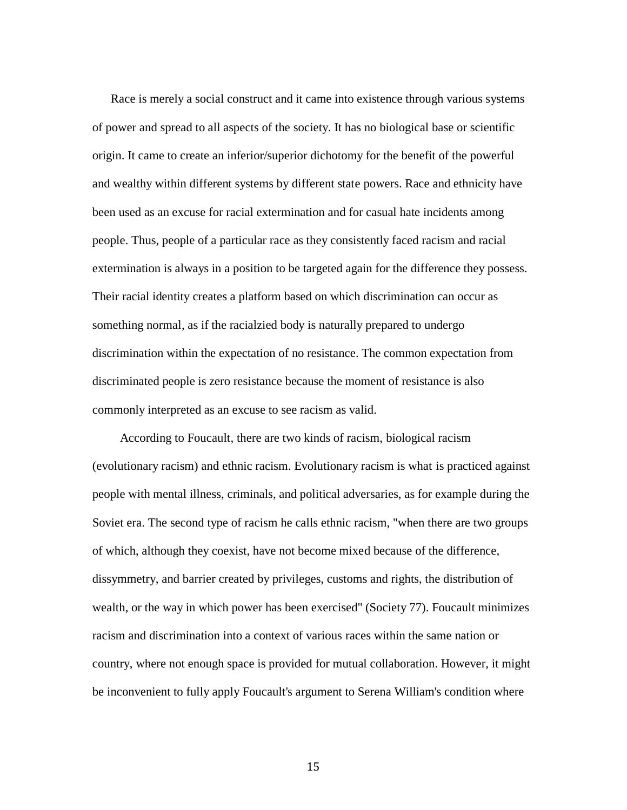Race is merely a social construct and it came into existence through various systems of power and spread to all aspects of the society. It has no biological base or scientific origin. It came to create an inferior/superior dichotomy for the benefit of the powerful and wealthy within different systems by different state powers. Race and ethnicity have been used as an excuse for racial extermination and for casual hate incidents among people. Thus, people of a particular race as they consistently faced racism and racial extermination is always in a position to be targeted again for the difference they possess. Their racial identity creates a platform based on which discrimination can occur as something normal, as if the racialzied body is naturally prepared to undergo discrimination within the expectation of no resistance. The common expectation from discriminated people is zero resistance because the moment of resistance is also commonly interpreted as an excuse to see racism as valid.

 According to Foucault, there are two kinds of racism, biological racism (evolutionary racism) and ethnic racism. Evolutionary racism is what is practiced against people with mental illness, criminals, and political adversaries, as for example during the Soviet era. The second type of racism he calls ethnic racism, "when there are two groups of which, although they coexist, have not become mixed because of the difference, dissymmetry, and barrier created by privileges, customs and rights, the distribution of wealth, or the way in which power has been exercised" (Society 77). Foucault minimizes racism and discrimination into a context of various races within the same nation or country, where not enough space is provided for mutual collaboration. However, it might be inconvenient to fully apply Foucault's argument to Serena William's condition where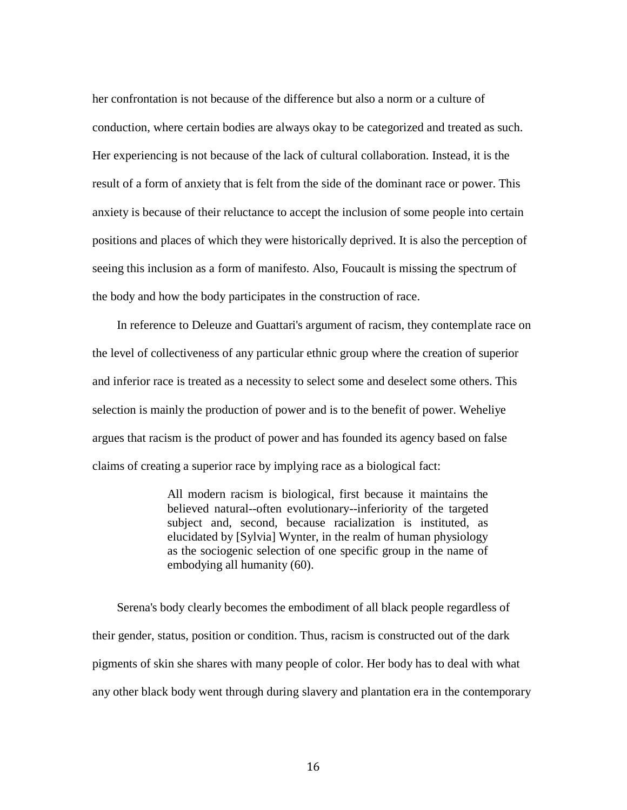her confrontation is not because of the difference but also a norm or a culture of conduction, where certain bodies are always okay to be categorized and treated as such. Her experiencing is not because of the lack of cultural collaboration. Instead, it is the result of a form of anxiety that is felt from the side of the dominant race or power. This anxiety is because of their reluctance to accept the inclusion of some people into certain positions and places of which they were historically deprived. It is also the perception of seeing this inclusion as a form of manifesto. Also, Foucault is missing the spectrum of the body and how the body participates in the construction of race.

 In reference to Deleuze and Guattari's argument of racism, they contemplate race on the level of collectiveness of any particular ethnic group where the creation of superior and inferior race is treated as a necessity to select some and deselect some others. This selection is mainly the production of power and is to the benefit of power. Weheliye argues that racism is the product of power and has founded its agency based on false claims of creating a superior race by implying race as a biological fact:

> All modern racism is biological, first because it maintains the believed natural--often evolutionary--inferiority of the targeted subject and, second, because racialization is instituted, as elucidated by [Sylvia] Wynter, in the realm of human physiology as the sociogenic selection of one specific group in the name of embodying all humanity (60).

 Serena's body clearly becomes the embodiment of all black people regardless of their gender, status, position or condition. Thus, racism is constructed out of the dark pigments of skin she shares with many people of color. Her body has to deal with what any other black body went through during slavery and plantation era in the contemporary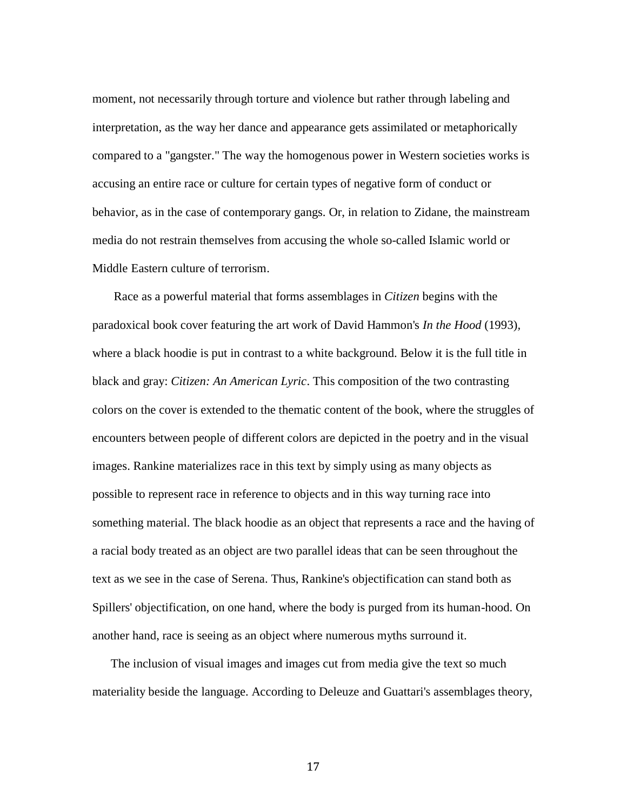moment, not necessarily through torture and violence but rather through labeling and interpretation, as the way her dance and appearance gets assimilated or metaphorically compared to a "gangster." The way the homogenous power in Western societies works is accusing an entire race or culture for certain types of negative form of conduct or behavior, as in the case of contemporary gangs. Or, in relation to Zidane, the mainstream media do not restrain themselves from accusing the whole so-called Islamic world or Middle Eastern culture of terrorism.

 Race as a powerful material that forms assemblages in *Citizen* begins with the paradoxical book cover featuring the art work of David Hammon's *In the Hood* (1993)*,*  where a black hoodie is put in contrast to a white background. Below it is the full title in black and gray: *Citizen: An American Lyric*. This composition of the two contrasting colors on the cover is extended to the thematic content of the book, where the struggles of encounters between people of different colors are depicted in the poetry and in the visual images. Rankine materializes race in this text by simply using as many objects as possible to represent race in reference to objects and in this way turning race into something material. The black hoodie as an object that represents a race and the having of a racial body treated as an object are two parallel ideas that can be seen throughout the text as we see in the case of Serena. Thus, Rankine's objectification can stand both as Spillers' objectification, on one hand, where the body is purged from its human-hood. On another hand, race is seeing as an object where numerous myths surround it.

 The inclusion of visual images and images cut from media give the text so much materiality beside the language. According to Deleuze and Guattari's assemblages theory,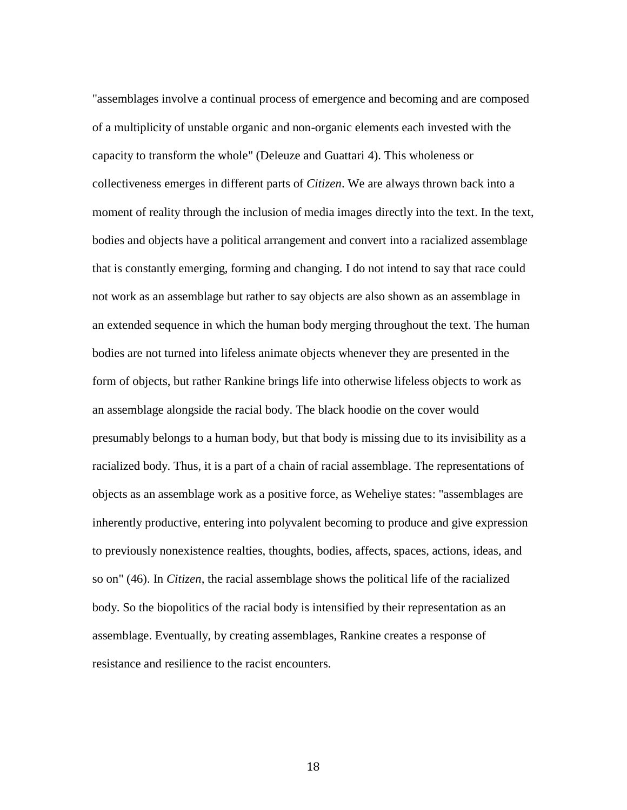"assemblages involve a continual process of emergence and becoming and are composed of a multiplicity of unstable organic and non-organic elements each invested with the capacity to transform the whole" (Deleuze and Guattari 4). This wholeness or collectiveness emerges in different parts of *Citizen*. We are always thrown back into a moment of reality through the inclusion of media images directly into the text. In the text, bodies and objects have a political arrangement and convert into a racialized assemblage that is constantly emerging, forming and changing. I do not intend to say that race could not work as an assemblage but rather to say objects are also shown as an assemblage in an extended sequence in which the human body merging throughout the text. The human bodies are not turned into lifeless animate objects whenever they are presented in the form of objects, but rather Rankine brings life into otherwise lifeless objects to work as an assemblage alongside the racial body. The black hoodie on the cover would presumably belongs to a human body, but that body is missing due to its invisibility as a racialized body. Thus, it is a part of a chain of racial assemblage. The representations of objects as an assemblage work as a positive force, as Weheliye states: "assemblages are inherently productive, entering into polyvalent becoming to produce and give expression to previously nonexistence realties, thoughts, bodies, affects, spaces, actions, ideas, and so on" (46). In *Citizen*, the racial assemblage shows the political life of the racialized body. So the biopolitics of the racial body is intensified by their representation as an assemblage. Eventually, by creating assemblages, Rankine creates a response of resistance and resilience to the racist encounters.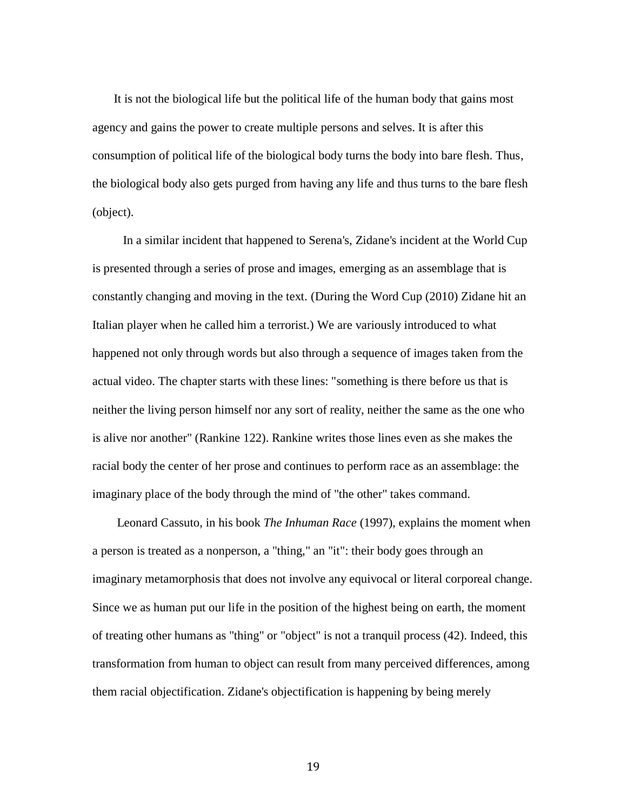It is not the biological life but the political life of the human body that gains most agency and gains the power to create multiple persons and selves. It is after this consumption of political life of the biological body turns the body into bare flesh. Thus, the biological body also gets purged from having any life and thus turns to the bare flesh (object).

 In a similar incident that happened to Serena's, Zidane's incident at the World Cup is presented through a series of prose and images, emerging as an assemblage that is constantly changing and moving in the text. (During the Word Cup (2010) Zidane hit an Italian player when he called him a terrorist.) We are variously introduced to what happened not only through words but also through a sequence of images taken from the actual video. The chapter starts with these lines: "something is there before us that is neither the living person himself nor any sort of reality, neither the same as the one who is alive nor another" (Rankine 122). Rankine writes those lines even as she makes the racial body the center of her prose and continues to perform race as an assemblage: the imaginary place of the body through the mind of "the other" takes command.

 Leonard Cassuto, in his book *The Inhuman Race* (1997), explains the moment when a person is treated as a nonperson, a "thing," an "it": their body goes through an imaginary metamorphosis that does not involve any equivocal or literal corporeal change. Since we as human put our life in the position of the highest being on earth, the moment of treating other humans as "thing" or "object" is not a tranquil process (42). Indeed, this transformation from human to object can result from many perceived differences, among them racial objectification. Zidane's objectification is happening by being merely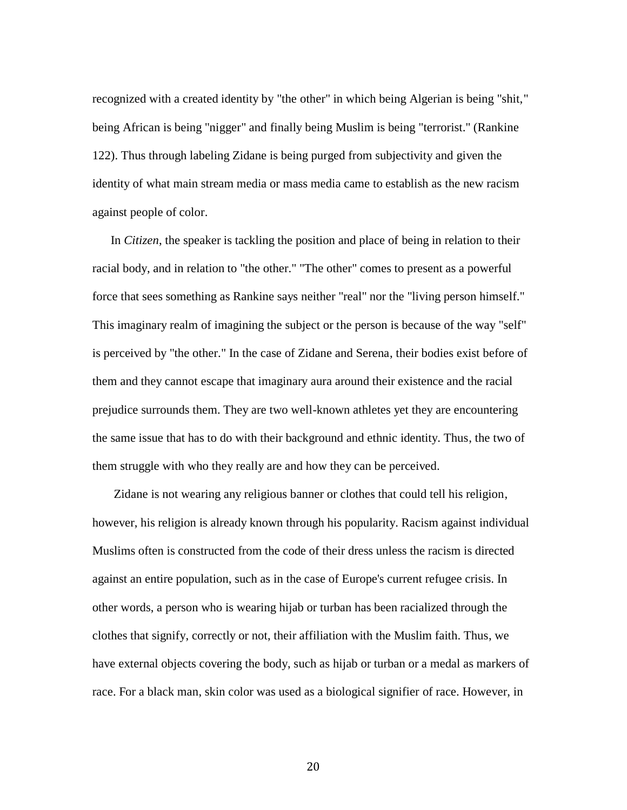recognized with a created identity by "the other" in which being Algerian is being "shit," being African is being "nigger" and finally being Muslim is being "terrorist." (Rankine 122). Thus through labeling Zidane is being purged from subjectivity and given the identity of what main stream media or mass media came to establish as the new racism against people of color.

 In *Citizen*, the speaker is tackling the position and place of being in relation to their racial body, and in relation to "the other." "The other" comes to present as a powerful force that sees something as Rankine says neither "real" nor the "living person himself." This imaginary realm of imagining the subject or the person is because of the way "self" is perceived by "the other." In the case of Zidane and Serena, their bodies exist before of them and they cannot escape that imaginary aura around their existence and the racial prejudice surrounds them. They are two well-known athletes yet they are encountering the same issue that has to do with their background and ethnic identity. Thus, the two of them struggle with who they really are and how they can be perceived.

 Zidane is not wearing any religious banner or clothes that could tell his religion, however, his religion is already known through his popularity. Racism against individual Muslims often is constructed from the code of their dress unless the racism is directed against an entire population, such as in the case of Europe's current refugee crisis. In other words, a person who is wearing hijab or turban has been racialized through the clothes that signify, correctly or not, their affiliation with the Muslim faith. Thus, we have external objects covering the body, such as hijab or turban or a medal as markers of race. For a black man, skin color was used as a biological signifier of race. However, in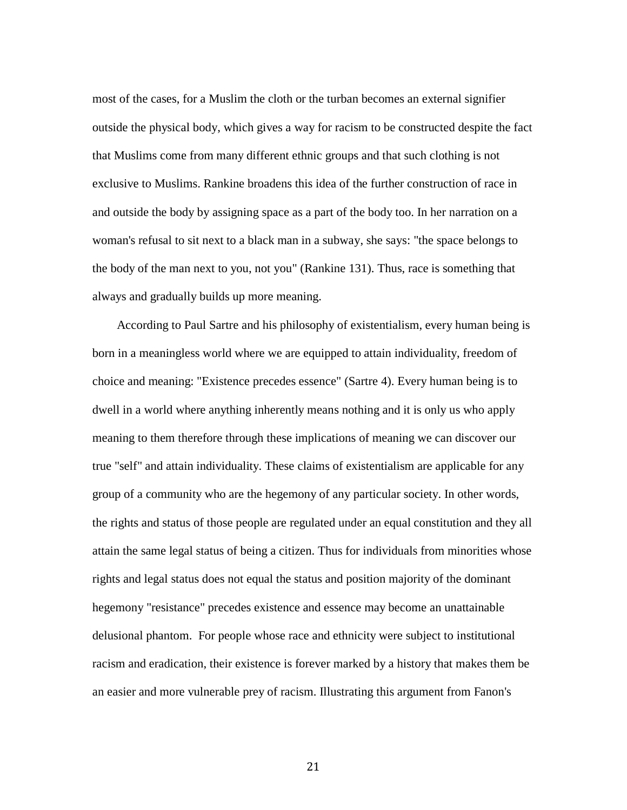most of the cases, for a Muslim the cloth or the turban becomes an external signifier outside the physical body, which gives a way for racism to be constructed despite the fact that Muslims come from many different ethnic groups and that such clothing is not exclusive to Muslims. Rankine broadens this idea of the further construction of race in and outside the body by assigning space as a part of the body too. In her narration on a woman's refusal to sit next to a black man in a subway, she says: "the space belongs to the body of the man next to you, not you" (Rankine 131). Thus, race is something that always and gradually builds up more meaning.

 According to Paul Sartre and his philosophy of existentialism, every human being is born in a meaningless world where we are equipped to attain individuality, freedom of choice and meaning: "Existence precedes essence" (Sartre 4). Every human being is to dwell in a world where anything inherently means nothing and it is only us who apply meaning to them therefore through these implications of meaning we can discover our true "self" and attain individuality. These claims of existentialism are applicable for any group of a community who are the hegemony of any particular society. In other words, the rights and status of those people are regulated under an equal constitution and they all attain the same legal status of being a citizen. Thus for individuals from minorities whose rights and legal status does not equal the status and position majority of the dominant hegemony "resistance" precedes existence and essence may become an unattainable delusional phantom. For people whose race and ethnicity were subject to institutional racism and eradication, their existence is forever marked by a history that makes them be an easier and more vulnerable prey of racism. Illustrating this argument from Fanon's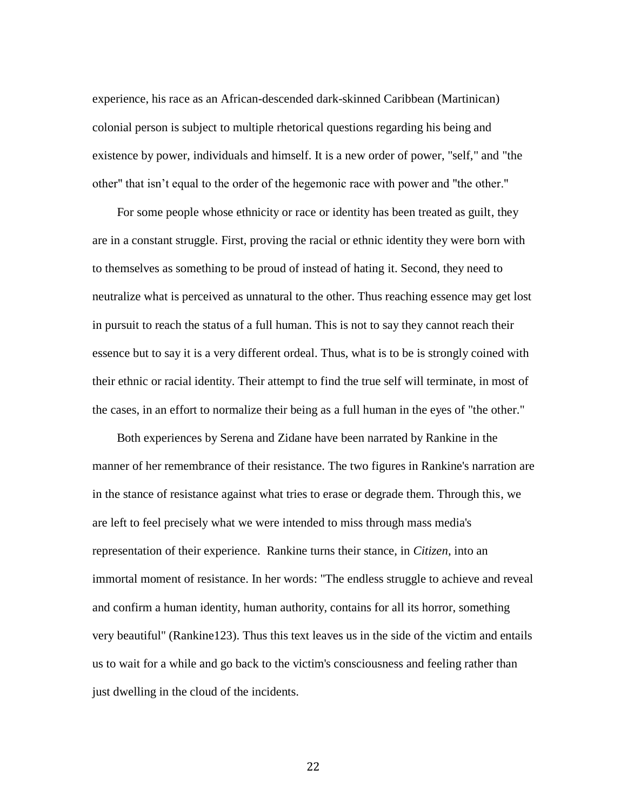experience, his race as an African-descended dark-skinned Caribbean (Martinican) colonial person is subject to multiple rhetorical questions regarding his being and existence by power, individuals and himself. It is a new order of power, "self," and "the other" that isn't equal to the order of the hegemonic race with power and "the other."

 For some people whose ethnicity or race or identity has been treated as guilt, they are in a constant struggle. First, proving the racial or ethnic identity they were born with to themselves as something to be proud of instead of hating it. Second, they need to neutralize what is perceived as unnatural to the other. Thus reaching essence may get lost in pursuit to reach the status of a full human. This is not to say they cannot reach their essence but to say it is a very different ordeal. Thus, what is to be is strongly coined with their ethnic or racial identity. Their attempt to find the true self will terminate, in most of the cases, in an effort to normalize their being as a full human in the eyes of "the other."

 Both experiences by Serena and Zidane have been narrated by Rankine in the manner of her remembrance of their resistance. The two figures in Rankine's narration are in the stance of resistance against what tries to erase or degrade them. Through this, we are left to feel precisely what we were intended to miss through mass media's representation of their experience. Rankine turns their stance, in *Citizen*, into an immortal moment of resistance. In her words: "The endless struggle to achieve and reveal and confirm a human identity, human authority, contains for all its horror, something very beautiful" (Rankine123). Thus this text leaves us in the side of the victim and entails us to wait for a while and go back to the victim's consciousness and feeling rather than just dwelling in the cloud of the incidents.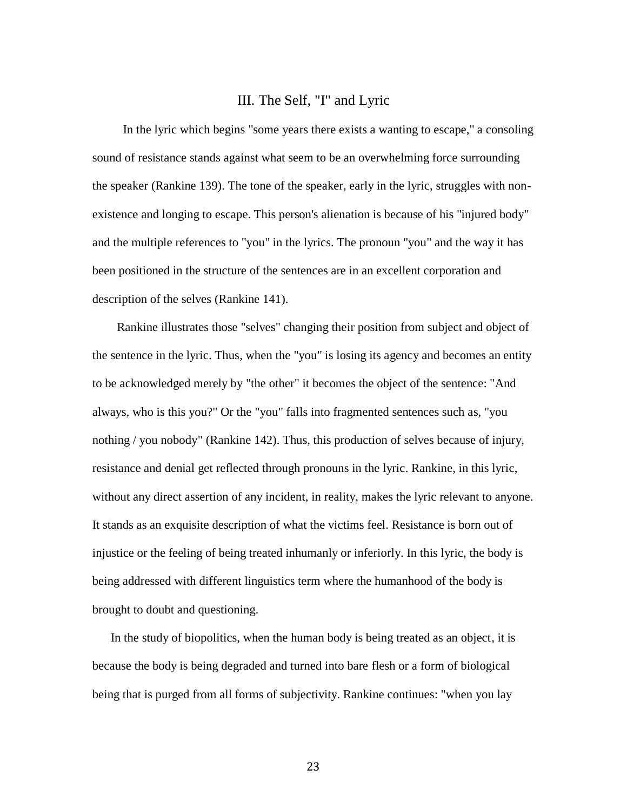### III. The Self, "I" and Lyric

 In the lyric which begins "some years there exists a wanting to escape," a consoling sound of resistance stands against what seem to be an overwhelming force surrounding the speaker (Rankine 139). The tone of the speaker, early in the lyric, struggles with nonexistence and longing to escape. This person's alienation is because of his "injured body" and the multiple references to "you" in the lyrics. The pronoun "you" and the way it has been positioned in the structure of the sentences are in an excellent corporation and description of the selves (Rankine 141).

 Rankine illustrates those "selves" changing their position from subject and object of the sentence in the lyric. Thus, when the "you" is losing its agency and becomes an entity to be acknowledged merely by "the other" it becomes the object of the sentence: "And always, who is this you?" Or the "you" falls into fragmented sentences such as, "you nothing / you nobody" (Rankine 142). Thus, this production of selves because of injury, resistance and denial get reflected through pronouns in the lyric. Rankine, in this lyric, without any direct assertion of any incident, in reality, makes the lyric relevant to anyone. It stands as an exquisite description of what the victims feel. Resistance is born out of injustice or the feeling of being treated inhumanly or inferiorly. In this lyric, the body is being addressed with different linguistics term where the humanhood of the body is brought to doubt and questioning.

 In the study of biopolitics, when the human body is being treated as an object, it is because the body is being degraded and turned into bare flesh or a form of biological being that is purged from all forms of subjectivity. Rankine continues: "when you lay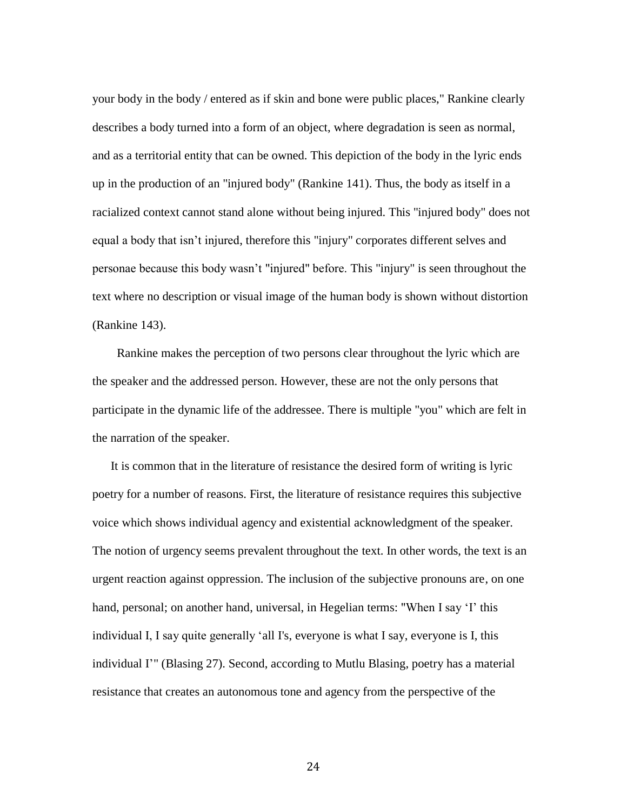your body in the body / entered as if skin and bone were public places," Rankine clearly describes a body turned into a form of an object, where degradation is seen as normal, and as a territorial entity that can be owned. This depiction of the body in the lyric ends up in the production of an "injured body" (Rankine 141). Thus, the body as itself in a racialized context cannot stand alone without being injured. This "injured body" does not equal a body that isn't injured, therefore this "injury" corporates different selves and personae because this body wasn't "injured" before. This "injury" is seen throughout the text where no description or visual image of the human body is shown without distortion (Rankine 143).

 Rankine makes the perception of two persons clear throughout the lyric which are the speaker and the addressed person. However, these are not the only persons that participate in the dynamic life of the addressee. There is multiple "you" which are felt in the narration of the speaker.

 It is common that in the literature of resistance the desired form of writing is lyric poetry for a number of reasons. First, the literature of resistance requires this subjective voice which shows individual agency and existential acknowledgment of the speaker. The notion of urgency seems prevalent throughout the text. In other words, the text is an urgent reaction against oppression. The inclusion of the subjective pronouns are, on one hand, personal; on another hand, universal, in Hegelian terms: "When I say 'I' this individual I, I say quite generally 'all I's, everyone is what I say, everyone is I, this individual I'" (Blasing 27). Second, according to Mutlu Blasing, poetry has a material resistance that creates an autonomous tone and agency from the perspective of the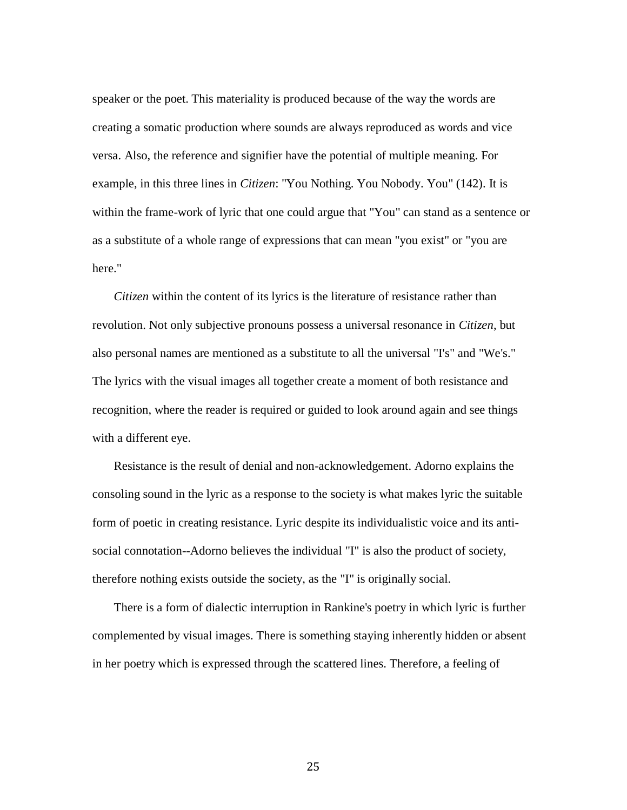speaker or the poet. This materiality is produced because of the way the words are creating a somatic production where sounds are always reproduced as words and vice versa. Also, the reference and signifier have the potential of multiple meaning. For example, in this three lines in *Citizen*: "You Nothing. You Nobody. You" (142). It is within the frame-work of lyric that one could argue that "You" can stand as a sentence or as a substitute of a whole range of expressions that can mean "you exist" or "you are here."

 *Citizen* within the content of its lyrics is the literature of resistance rather than revolution. Not only subjective pronouns possess a universal resonance in *Citizen*, but also personal names are mentioned as a substitute to all the universal "I's" and "We's." The lyrics with the visual images all together create a moment of both resistance and recognition, where the reader is required or guided to look around again and see things with a different eye.

 Resistance is the result of denial and non-acknowledgement. Adorno explains the consoling sound in the lyric as a response to the society is what makes lyric the suitable form of poetic in creating resistance. Lyric despite its individualistic voice and its antisocial connotation--Adorno believes the individual "I" is also the product of society, therefore nothing exists outside the society, as the "I" is originally social.

 There is a form of dialectic interruption in Rankine's poetry in which lyric is further complemented by visual images. There is something staying inherently hidden or absent in her poetry which is expressed through the scattered lines. Therefore, a feeling of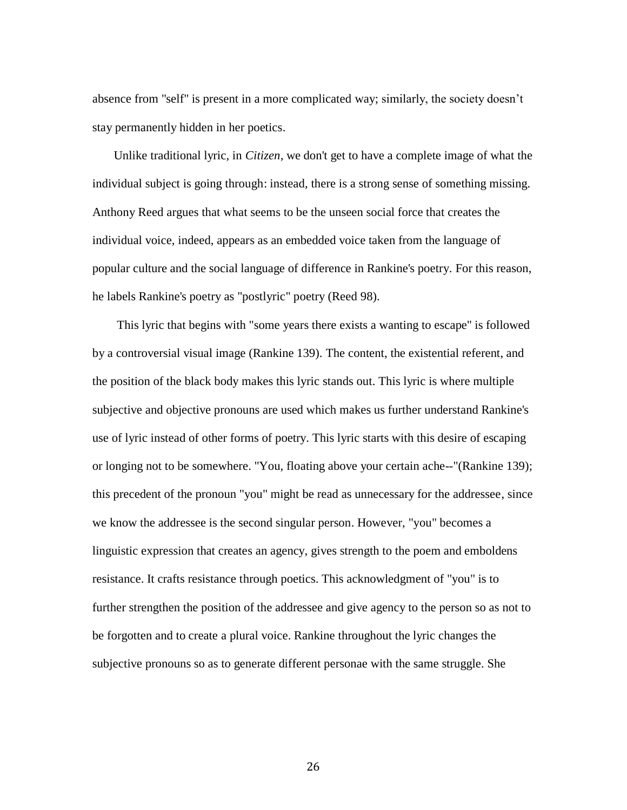absence from "self" is present in a more complicated way; similarly, the society doesn't stay permanently hidden in her poetics.

 Unlike traditional lyric, in *Citizen*, we don't get to have a complete image of what the individual subject is going through: instead, there is a strong sense of something missing. Anthony Reed argues that what seems to be the unseen social force that creates the individual voice, indeed, appears as an embedded voice taken from the language of popular culture and the social language of difference in Rankine's poetry. For this reason, he labels Rankine's poetry as "postlyric" poetry (Reed 98).

 This lyric that begins with "some years there exists a wanting to escape" is followed by a controversial visual image (Rankine 139). The content, the existential referent, and the position of the black body makes this lyric stands out. This lyric is where multiple subjective and objective pronouns are used which makes us further understand Rankine's use of lyric instead of other forms of poetry. This lyric starts with this desire of escaping or longing not to be somewhere. "You, floating above your certain ache--"(Rankine 139); this precedent of the pronoun "you" might be read as unnecessary for the addressee, since we know the addressee is the second singular person. However, "you" becomes a linguistic expression that creates an agency, gives strength to the poem and emboldens resistance. It crafts resistance through poetics. This acknowledgment of "you" is to further strengthen the position of the addressee and give agency to the person so as not to be forgotten and to create a plural voice. Rankine throughout the lyric changes the subjective pronouns so as to generate different personae with the same struggle. She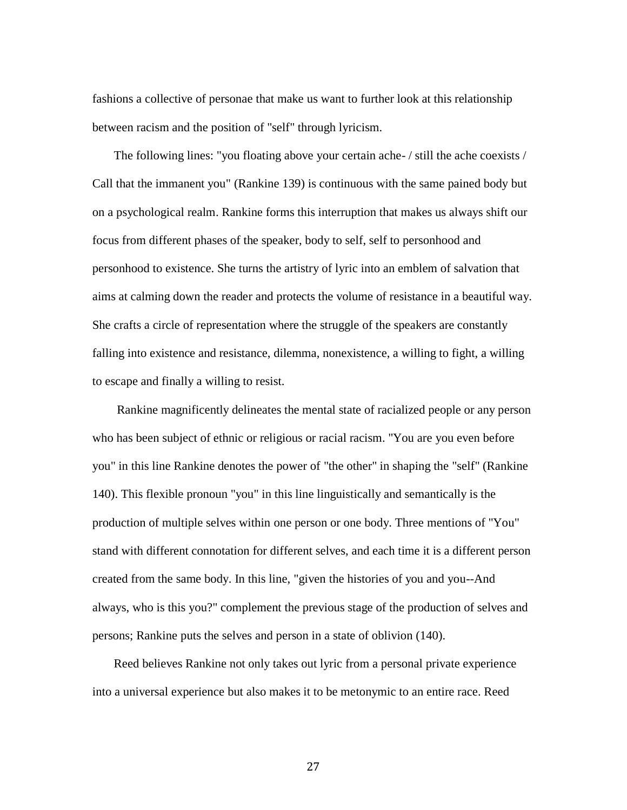fashions a collective of personae that make us want to further look at this relationship between racism and the position of "self" through lyricism.

 The following lines: "you floating above your certain ache- / still the ache coexists / Call that the immanent you" (Rankine 139) is continuous with the same pained body but on a psychological realm. Rankine forms this interruption that makes us always shift our focus from different phases of the speaker, body to self, self to personhood and personhood to existence. She turns the artistry of lyric into an emblem of salvation that aims at calming down the reader and protects the volume of resistance in a beautiful way. She crafts a circle of representation where the struggle of the speakers are constantly falling into existence and resistance, dilemma, nonexistence, a willing to fight, a willing to escape and finally a willing to resist.

 Rankine magnificently delineates the mental state of racialized people or any person who has been subject of ethnic or religious or racial racism. "You are you even before you" in this line Rankine denotes the power of "the other" in shaping the "self" (Rankine 140). This flexible pronoun "you" in this line linguistically and semantically is the production of multiple selves within one person or one body. Three mentions of "You" stand with different connotation for different selves, and each time it is a different person created from the same body. In this line, "given the histories of you and you--And always, who is this you?" complement the previous stage of the production of selves and persons; Rankine puts the selves and person in a state of oblivion (140).

 Reed believes Rankine not only takes out lyric from a personal private experience into a universal experience but also makes it to be metonymic to an entire race. Reed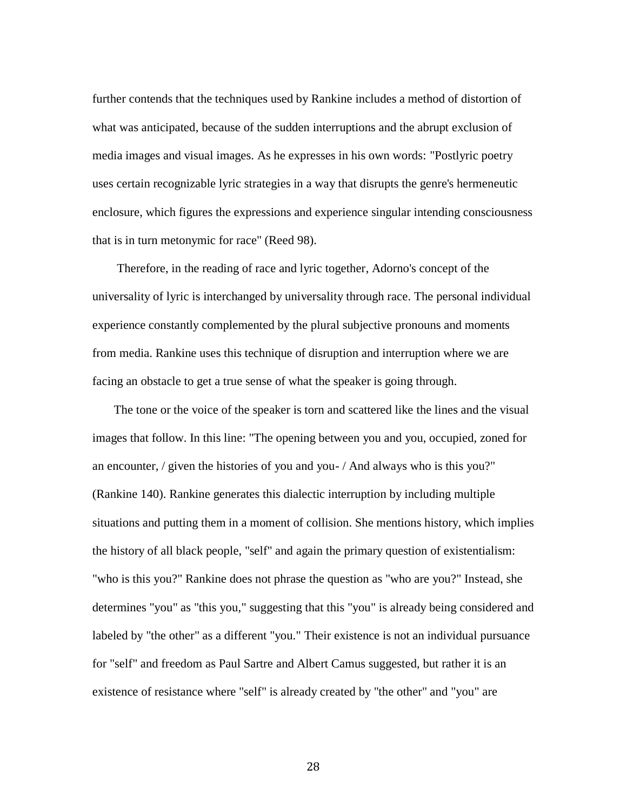further contends that the techniques used by Rankine includes a method of distortion of what was anticipated, because of the sudden interruptions and the abrupt exclusion of media images and visual images. As he expresses in his own words: "Postlyric poetry uses certain recognizable lyric strategies in a way that disrupts the genre's hermeneutic enclosure, which figures the expressions and experience singular intending consciousness that is in turn metonymic for race" (Reed 98).

 Therefore, in the reading of race and lyric together, Adorno's concept of the universality of lyric is interchanged by universality through race. The personal individual experience constantly complemented by the plural subjective pronouns and moments from media. Rankine uses this technique of disruption and interruption where we are facing an obstacle to get a true sense of what the speaker is going through.

 The tone or the voice of the speaker is torn and scattered like the lines and the visual images that follow. In this line: "The opening between you and you, occupied, zoned for an encounter, / given the histories of you and you- / And always who is this you?" (Rankine 140). Rankine generates this dialectic interruption by including multiple situations and putting them in a moment of collision. She mentions history, which implies the history of all black people, "self" and again the primary question of existentialism: "who is this you?" Rankine does not phrase the question as "who are you?" Instead, she determines "you" as "this you," suggesting that this "you" is already being considered and labeled by "the other" as a different "you." Their existence is not an individual pursuance for "self" and freedom as Paul Sartre and Albert Camus suggested, but rather it is an existence of resistance where "self" is already created by "the other" and "you" are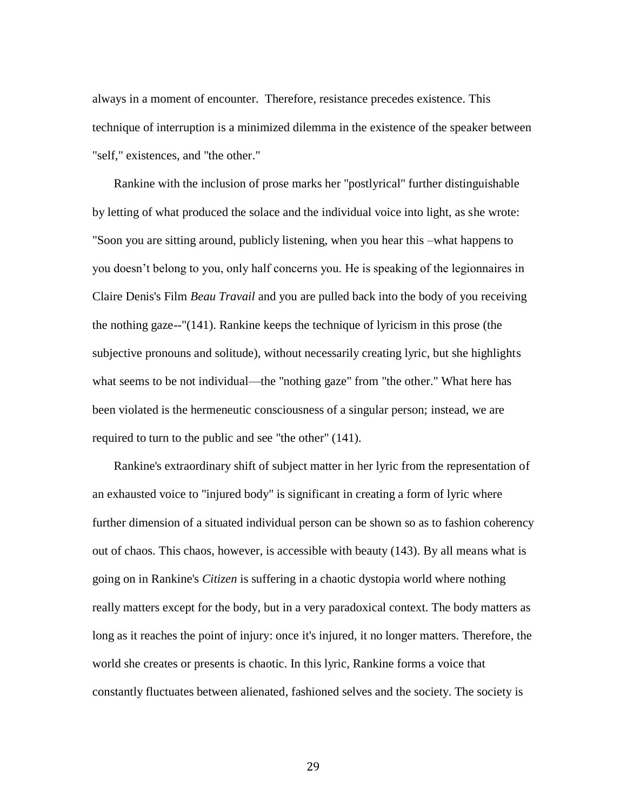always in a moment of encounter. Therefore, resistance precedes existence. This technique of interruption is a minimized dilemma in the existence of the speaker between "self," existences, and "the other."

 Rankine with the inclusion of prose marks her "postlyrical" further distinguishable by letting of what produced the solace and the individual voice into light, as she wrote: "Soon you are sitting around, publicly listening, when you hear this –what happens to you doesn't belong to you, only half concerns you. He is speaking of the legionnaires in Claire Denis's Film *Beau Travail* and you are pulled back into the body of you receiving the nothing gaze--"(141). Rankine keeps the technique of lyricism in this prose (the subjective pronouns and solitude), without necessarily creating lyric, but she highlights what seems to be not individual—the "nothing gaze" from "the other." What here has been violated is the hermeneutic consciousness of a singular person; instead, we are required to turn to the public and see "the other" (141).

 Rankine's extraordinary shift of subject matter in her lyric from the representation of an exhausted voice to "injured body" is significant in creating a form of lyric where further dimension of a situated individual person can be shown so as to fashion coherency out of chaos. This chaos, however, is accessible with beauty (143). By all means what is going on in Rankine's *Citizen* is suffering in a chaotic dystopia world where nothing really matters except for the body, but in a very paradoxical context. The body matters as long as it reaches the point of injury: once it's injured, it no longer matters. Therefore, the world she creates or presents is chaotic. In this lyric, Rankine forms a voice that constantly fluctuates between alienated, fashioned selves and the society. The society is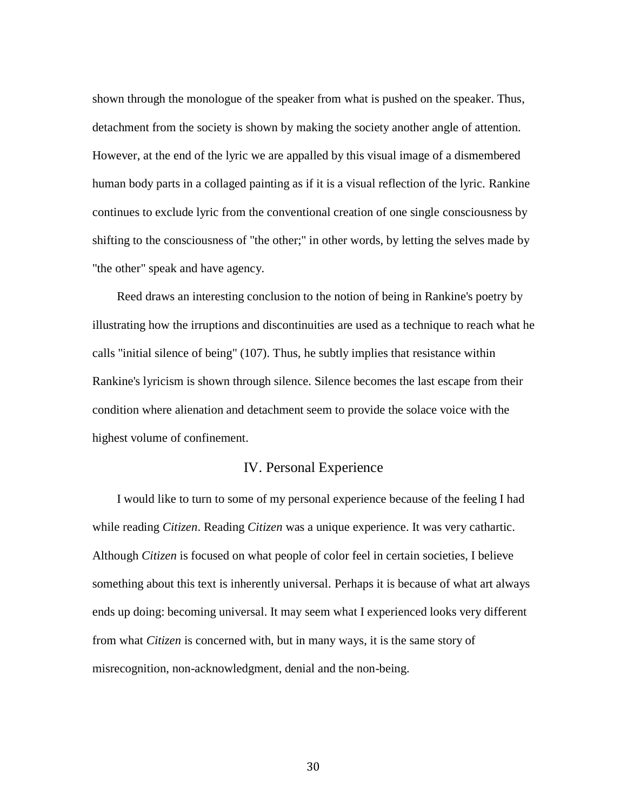shown through the monologue of the speaker from what is pushed on the speaker. Thus, detachment from the society is shown by making the society another angle of attention. However, at the end of the lyric we are appalled by this visual image of a dismembered human body parts in a collaged painting as if it is a visual reflection of the lyric. Rankine continues to exclude lyric from the conventional creation of one single consciousness by shifting to the consciousness of "the other;" in other words, by letting the selves made by "the other" speak and have agency.

 Reed draws an interesting conclusion to the notion of being in Rankine's poetry by illustrating how the irruptions and discontinuities are used as a technique to reach what he calls "initial silence of being" (107). Thus, he subtly implies that resistance within Rankine's lyricism is shown through silence. Silence becomes the last escape from their condition where alienation and detachment seem to provide the solace voice with the highest volume of confinement.

### IV. Personal Experience

 I would like to turn to some of my personal experience because of the feeling I had while reading *Citizen*. Reading *Citizen* was a unique experience. It was very cathartic. Although *Citizen* is focused on what people of color feel in certain societies, I believe something about this text is inherently universal. Perhaps it is because of what art always ends up doing: becoming universal. It may seem what I experienced looks very different from what *Citizen* is concerned with, but in many ways, it is the same story of misrecognition, non-acknowledgment, denial and the non-being.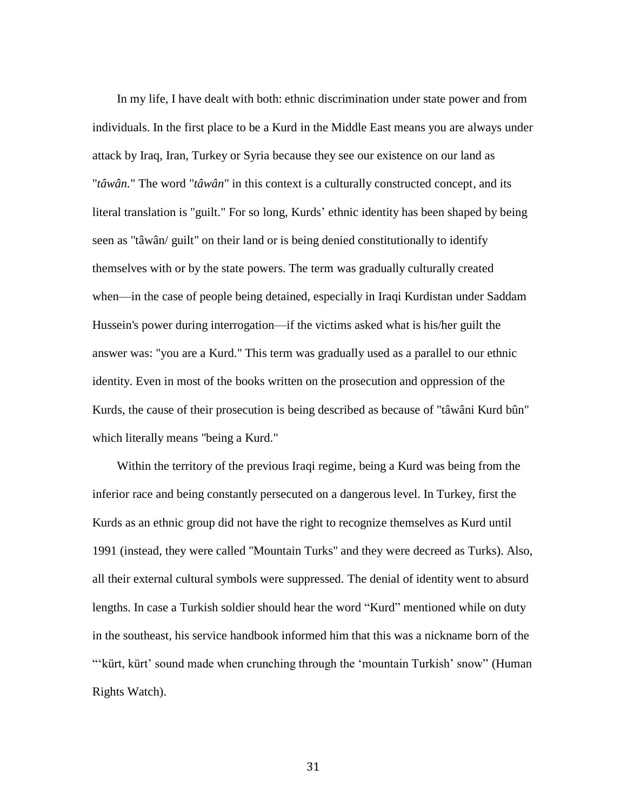In my life, I have dealt with both: ethnic discrimination under state power and from individuals. In the first place to be a Kurd in the Middle East means you are always under attack by Iraq, Iran, Turkey or Syria because they see our existence on our land as "*tâwân.*" The word "*tâwân*" in this context is a culturally constructed concept, and its literal translation is "guilt." For so long, Kurds' ethnic identity has been shaped by being seen as "tâwân/ guilt" on their land or is being denied constitutionally to identify themselves with or by the state powers. The term was gradually culturally created when—in the case of people being detained, especially in Iraqi Kurdistan under Saddam Hussein's power during interrogation—if the victims asked what is his/her guilt the answer was: "you are a Kurd." This term was gradually used as a parallel to our ethnic identity. Even in most of the books written on the prosecution and oppression of the Kurds, the cause of their prosecution is being described as because of "tâwâni Kurd bûn" which literally means "being a Kurd."

 Within the territory of the previous Iraqi regime, being a Kurd was being from the inferior race and being constantly persecuted on a dangerous level. In Turkey, first the Kurds as an ethnic group did not have the right to recognize themselves as Kurd until 1991 (instead, they were called "Mountain Turks" and they were decreed as Turks). Also, all their external cultural symbols were suppressed. The denial of identity went to absurd lengths. In case a Turkish soldier should hear the word "Kurd" mentioned while on duty in the southeast, his service handbook informed him that this was a nickname born of the ―‗kürt, kürt' sound made when crunching through the ‗mountain Turkish' snow‖ (Human Rights Watch).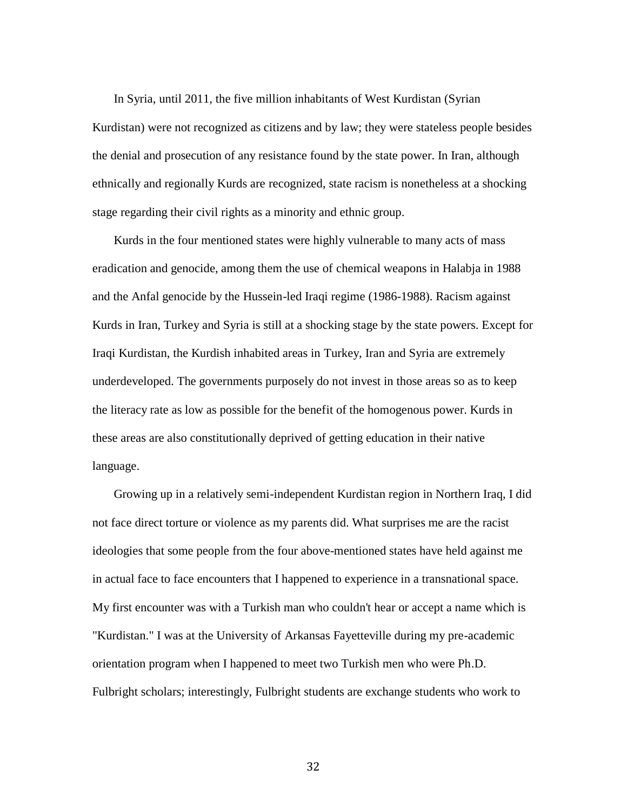In Syria, until 2011, the five million inhabitants of West Kurdistan (Syrian Kurdistan) were not recognized as citizens and by law; they were stateless people besides the denial and prosecution of any resistance found by the state power. In Iran, although ethnically and regionally Kurds are recognized, state racism is nonetheless at a shocking stage regarding their civil rights as a minority and ethnic group.

 Kurds in the four mentioned states were highly vulnerable to many acts of mass eradication and genocide, among them the use of chemical weapons in Halabja in 1988 and the Anfal genocide by the Hussein-led Iraqi regime (1986-1988). Racism against Kurds in Iran, Turkey and Syria is still at a shocking stage by the state powers. Except for Iraqi Kurdistan, the Kurdish inhabited areas in Turkey, Iran and Syria are extremely underdeveloped. The governments purposely do not invest in those areas so as to keep the literacy rate as low as possible for the benefit of the homogenous power. Kurds in these areas are also constitutionally deprived of getting education in their native language.

 Growing up in a relatively semi-independent Kurdistan region in Northern Iraq, I did not face direct torture or violence as my parents did. What surprises me are the racist ideologies that some people from the four above-mentioned states have held against me in actual face to face encounters that I happened to experience in a transnational space. My first encounter was with a Turkish man who couldn't hear or accept a name which is "Kurdistan." I was at the University of Arkansas Fayetteville during my pre-academic orientation program when I happened to meet two Turkish men who were Ph.D. Fulbright scholars; interestingly, Fulbright students are exchange students who work to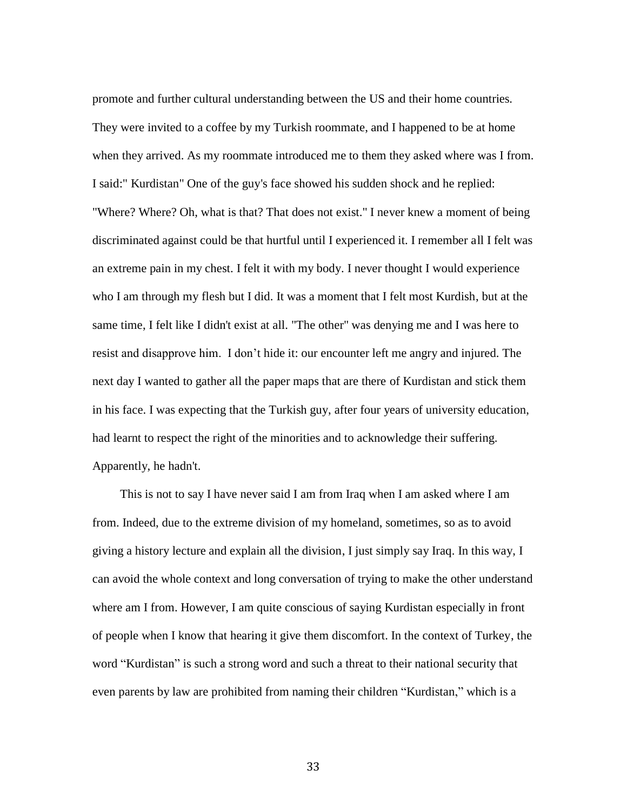promote and further cultural understanding between the US and their home countries. They were invited to a coffee by my Turkish roommate, and I happened to be at home when they arrived. As my roommate introduced me to them they asked where was I from. I said:" Kurdistan" One of the guy's face showed his sudden shock and he replied: "Where? Where? Oh, what is that? That does not exist." I never knew a moment of being discriminated against could be that hurtful until I experienced it. I remember all I felt was an extreme pain in my chest. I felt it with my body. I never thought I would experience who I am through my flesh but I did. It was a moment that I felt most Kurdish, but at the same time, I felt like I didn't exist at all. "The other" was denying me and I was here to resist and disapprove him. I don't hide it: our encounter left me angry and injured. The next day I wanted to gather all the paper maps that are there of Kurdistan and stick them in his face. I was expecting that the Turkish guy, after four years of university education, had learnt to respect the right of the minorities and to acknowledge their suffering. Apparently, he hadn't.

 This is not to say I have never said I am from Iraq when I am asked where I am from. Indeed, due to the extreme division of my homeland, sometimes, so as to avoid giving a history lecture and explain all the division, I just simply say Iraq. In this way, I can avoid the whole context and long conversation of trying to make the other understand where am I from. However, I am quite conscious of saying Kurdistan especially in front of people when I know that hearing it give them discomfort. In the context of Turkey, the word "Kurdistan" is such a strong word and such a threat to their national security that even parents by law are prohibited from naming their children "Kurdistan," which is a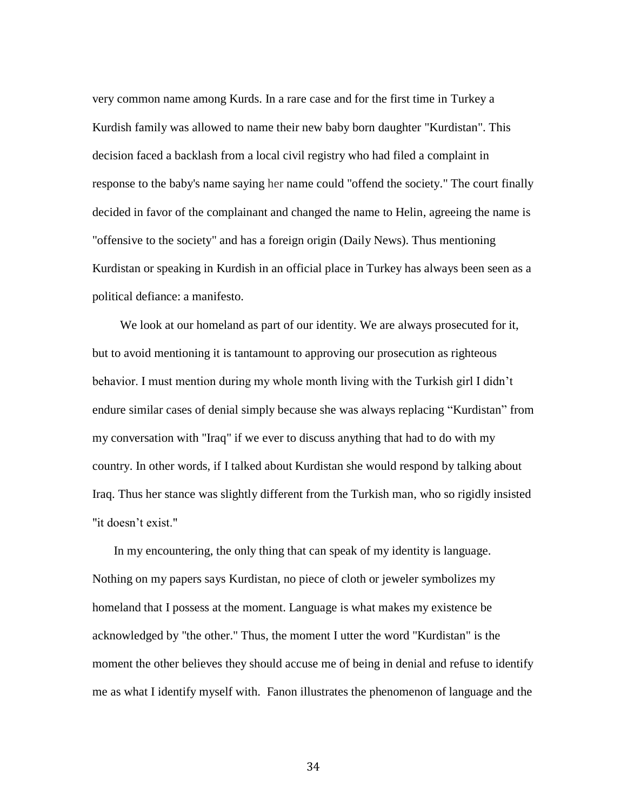very common name among Kurds. In a rare case and for the first time in Turkey a Kurdish family was allowed to name their new baby born daughter "Kurdistan". This decision faced a backlash from a local civil registry who had filed a complaint in response to the baby's name saying her name could "offend the society." The court finally decided in favor of the complainant and changed the name to Helin, agreeing the name is "offensive to the society" and has a foreign origin (Daily News). Thus mentioning Kurdistan or speaking in Kurdish in an official place in Turkey has always been seen as a political defiance: a manifesto.

 We look at our homeland as part of our identity. We are always prosecuted for it, but to avoid mentioning it is tantamount to approving our prosecution as righteous behavior. I must mention during my whole month living with the Turkish girl I didn't endure similar cases of denial simply because she was always replacing "Kurdistan" from my conversation with "Iraq" if we ever to discuss anything that had to do with my country. In other words, if I talked about Kurdistan she would respond by talking about Iraq. Thus her stance was slightly different from the Turkish man, who so rigidly insisted "it doesn't exist."

 In my encountering, the only thing that can speak of my identity is language. Nothing on my papers says Kurdistan, no piece of cloth or jeweler symbolizes my homeland that I possess at the moment. Language is what makes my existence be acknowledged by "the other." Thus, the moment I utter the word "Kurdistan" is the moment the other believes they should accuse me of being in denial and refuse to identify me as what I identify myself with. Fanon illustrates the phenomenon of language and the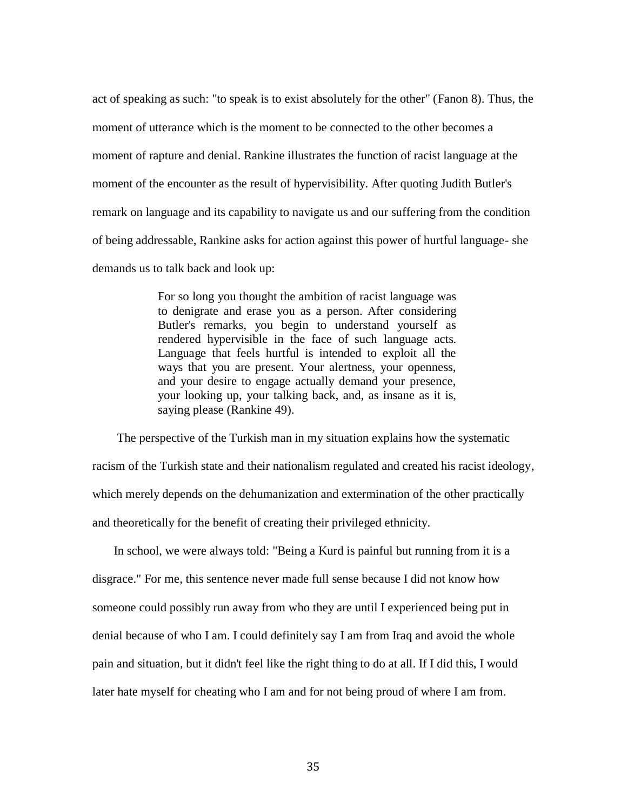act of speaking as such: "to speak is to exist absolutely for the other" (Fanon 8). Thus, the moment of utterance which is the moment to be connected to the other becomes a moment of rapture and denial. Rankine illustrates the function of racist language at the moment of the encounter as the result of hypervisibility. After quoting Judith Butler's remark on language and its capability to navigate us and our suffering from the condition of being addressable, Rankine asks for action against this power of hurtful language- she demands us to talk back and look up:

> For so long you thought the ambition of racist language was to denigrate and erase you as a person. After considering Butler's remarks, you begin to understand yourself as rendered hypervisible in the face of such language acts. Language that feels hurtful is intended to exploit all the ways that you are present. Your alertness, your openness, and your desire to engage actually demand your presence, your looking up, your talking back, and, as insane as it is, saying please (Rankine 49).

 The perspective of the Turkish man in my situation explains how the systematic racism of the Turkish state and their nationalism regulated and created his racist ideology, which merely depends on the dehumanization and extermination of the other practically and theoretically for the benefit of creating their privileged ethnicity.

 In school, we were always told: "Being a Kurd is painful but running from it is a disgrace." For me, this sentence never made full sense because I did not know how someone could possibly run away from who they are until I experienced being put in denial because of who I am. I could definitely say I am from Iraq and avoid the whole pain and situation, but it didn't feel like the right thing to do at all. If I did this, I would later hate myself for cheating who I am and for not being proud of where I am from.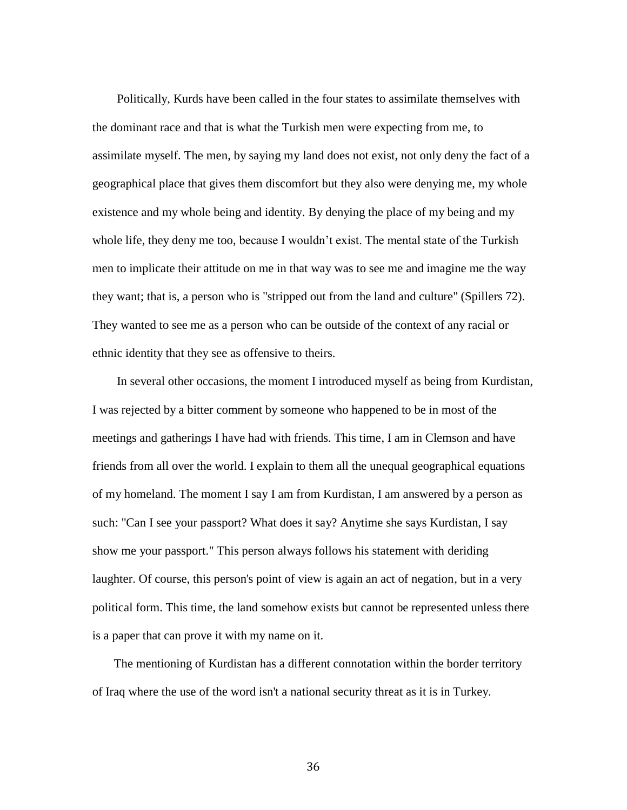Politically, Kurds have been called in the four states to assimilate themselves with the dominant race and that is what the Turkish men were expecting from me, to assimilate myself. The men, by saying my land does not exist, not only deny the fact of a geographical place that gives them discomfort but they also were denying me, my whole existence and my whole being and identity. By denying the place of my being and my whole life, they deny me too, because I wouldn't exist. The mental state of the Turkish men to implicate their attitude on me in that way was to see me and imagine me the way they want; that is, a person who is "stripped out from the land and culture" (Spillers 72). They wanted to see me as a person who can be outside of the context of any racial or ethnic identity that they see as offensive to theirs.

 In several other occasions, the moment I introduced myself as being from Kurdistan, I was rejected by a bitter comment by someone who happened to be in most of the meetings and gatherings I have had with friends. This time, I am in Clemson and have friends from all over the world. I explain to them all the unequal geographical equations of my homeland. The moment I say I am from Kurdistan, I am answered by a person as such: "Can I see your passport? What does it say? Anytime she says Kurdistan, I say show me your passport." This person always follows his statement with deriding laughter. Of course, this person's point of view is again an act of negation, but in a very political form. This time, the land somehow exists but cannot be represented unless there is a paper that can prove it with my name on it.

 The mentioning of Kurdistan has a different connotation within the border territory of Iraq where the use of the word isn't a national security threat as it is in Turkey.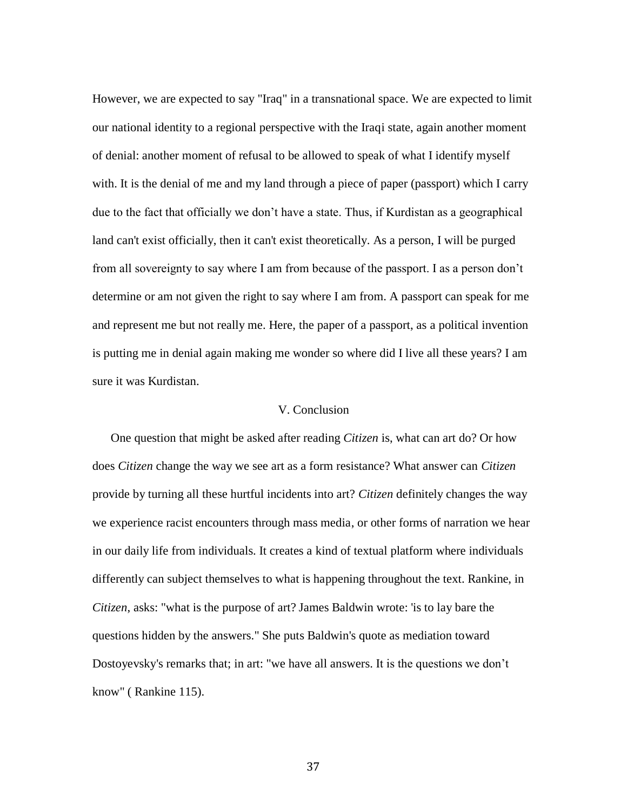However, we are expected to say "Iraq" in a transnational space. We are expected to limit our national identity to a regional perspective with the Iraqi state, again another moment of denial: another moment of refusal to be allowed to speak of what I identify myself with. It is the denial of me and my land through a piece of paper (passport) which I carry due to the fact that officially we don't have a state. Thus, if Kurdistan as a geographical land can't exist officially, then it can't exist theoretically. As a person, I will be purged from all sovereignty to say where I am from because of the passport. I as a person don't determine or am not given the right to say where I am from. A passport can speak for me and represent me but not really me. Here, the paper of a passport, as a political invention is putting me in denial again making me wonder so where did I live all these years? I am sure it was Kurdistan.

### V. Conclusion

 One question that might be asked after reading *Citizen* is, what can art do? Or how does *Citizen* change the way we see art as a form resistance? What answer can *Citizen* provide by turning all these hurtful incidents into art? *Citizen* definitely changes the way we experience racist encounters through mass media, or other forms of narration we hear in our daily life from individuals. It creates a kind of textual platform where individuals differently can subject themselves to what is happening throughout the text. Rankine, in *Citizen*, asks: "what is the purpose of art? James Baldwin wrote: 'is to lay bare the questions hidden by the answers." She puts Baldwin's quote as mediation toward Dostoyevsky's remarks that; in art: "we have all answers. It is the questions we don't know" ( Rankine 115).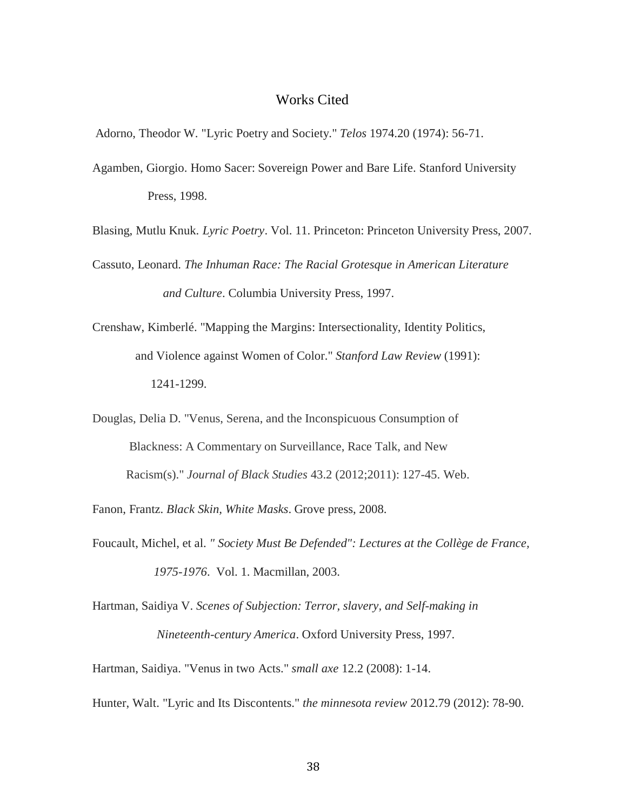### Works Cited

Adorno, Theodor W. "Lyric Poetry and Society." *Telos* 1974.20 (1974): 56-71.

- Agamben, Giorgio. Homo Sacer: Sovereign Power and Bare Life. Stanford University Press, 1998.
- Blasing, Mutlu Knuk. *Lyric Poetry*. Vol. 11. Princeton: Princeton University Press, 2007.
- Cassuto, Leonard. *The Inhuman Race: The Racial Grotesque in American Literature and Culture*. Columbia University Press, 1997.
- Crenshaw, Kimberlé. "Mapping the Margins: Intersectionality, Identity Politics, and Violence against Women of Color." *Stanford Law Review* (1991): 1241-1299.
- Douglas, Delia D. "Venus, Serena, and the Inconspicuous Consumption of Blackness: A Commentary on Surveillance, Race Talk, and New Racism(s)." *Journal of Black Studies* 43.2 (2012;2011): 127-45. Web.

Fanon, Frantz. *Black Skin, White Masks*. Grove press, 2008.

- Foucault, Michel, et al. *" Society Must Be Defended": Lectures at the Collège de France, 1975-1976*. Vol. 1. Macmillan, 2003.
- Hartman, Saidiya V. *Scenes of Subjection: Terror, slavery, and Self-making in Nineteenth-century America*. Oxford University Press, 1997.
- Hartman, Saidiya. "Venus in two Acts." *small axe* 12.2 (2008): 1-14.
- Hunter, Walt. "Lyric and Its Discontents." *the minnesota review* 2012.79 (2012): 78-90.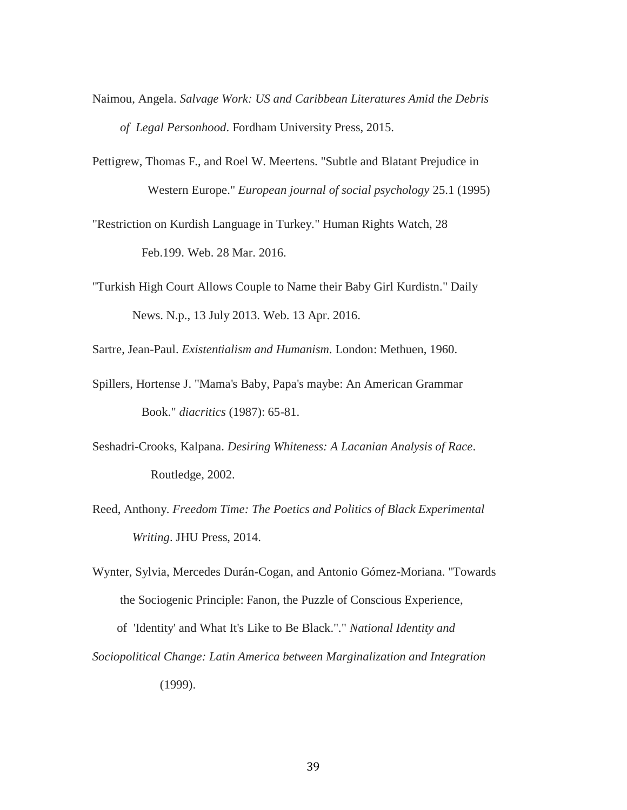- Naimou, Angela. *Salvage Work: US and Caribbean Literatures Amid the Debris of Legal Personhood*. Fordham University Press, 2015.
- Pettigrew, Thomas F., and Roel W. Meertens. "Subtle and Blatant Prejudice in Western Europe." *European journal of social psychology* 25.1 (1995)

"Restriction on Kurdish Language in Turkey." Human Rights Watch, 28 Feb.199. Web. 28 Mar. 2016.

"Turkish High Court Allows Couple to Name their Baby Girl Kurdistn." Daily News. N.p., 13 July 2013. Web. 13 Apr. 2016.

Sartre, Jean-Paul. *Existentialism and Humanism*. London: Methuen, 1960.

- Spillers, Hortense J. "Mama's Baby, Papa's maybe: An American Grammar Book." *diacritics* (1987): 65-81.
- Seshadri-Crooks, Kalpana. *Desiring Whiteness: A Lacanian Analysis of Race*. Routledge, 2002.
- Reed, Anthony. *Freedom Time: The Poetics and Politics of Black Experimental Writing*. JHU Press, 2014.
- Wynter, Sylvia, Mercedes Durán-Cogan, and Antonio Gómez-Moriana. "Towards the Sociogenic Principle: Fanon, the Puzzle of Conscious Experience,

 of 'Identity' and What It's Like to Be Black."." *National Identity and Sociopolitical Change: Latin America between Marginalization and Integration*

(1999).